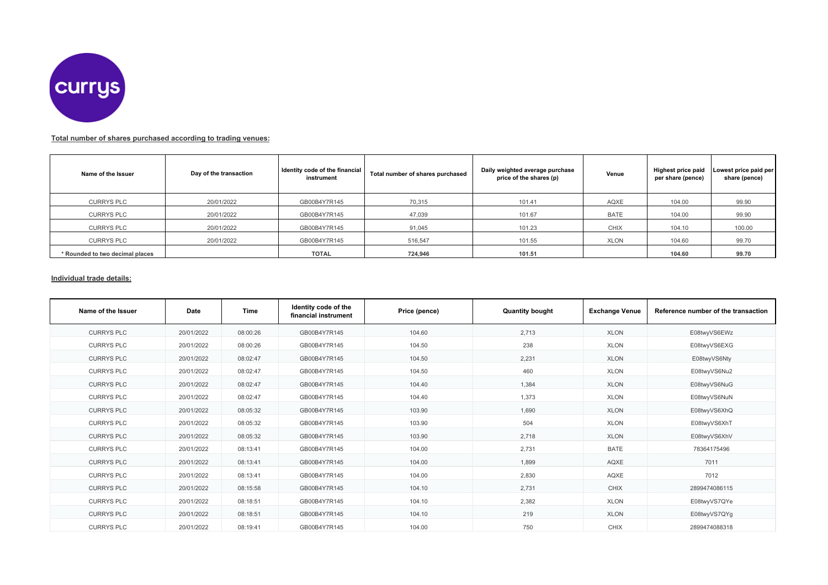

## **Total number of shares purchased according to trading venues:**

| Name of the Issuer              | Day of the transaction | Identity code of the financial<br>instrument | Total number of shares purchased | Daily weighted average purchase<br>price of the shares (p) | Venue       | Highest price paid<br>per share (pence) | Lowest price paid per<br>share (pence) |
|---------------------------------|------------------------|----------------------------------------------|----------------------------------|------------------------------------------------------------|-------------|-----------------------------------------|----------------------------------------|
| <b>CURRYS PLC</b>               | 20/01/2022             | GB00B4Y7R145                                 | 70,315                           | 101.41                                                     | AQXE        | 104.00                                  | 99.90                                  |
| <b>CURRYS PLC</b>               | 20/01/2022             | GB00B4Y7R145                                 | 47,039                           | 101.67                                                     | <b>BATE</b> | 104.00                                  | 99.90                                  |
| <b>CURRYS PLC</b>               | 20/01/2022             | GB00B4Y7R145                                 | 91,045                           | 101.23                                                     | <b>CHIX</b> | 104.10                                  | 100.00                                 |
| <b>CURRYS PLC</b>               | 20/01/2022             | GB00B4Y7R145                                 | 516,547                          | 101.55                                                     | <b>XLON</b> | 104.60                                  | 99.70                                  |
| * Rounded to two decimal places |                        | <b>TOTAL</b>                                 | 724.946                          | 101.51                                                     |             | 104.60                                  | 99.70                                  |

## **Individual trade details:**

| Name of the Issuer | Date       | Time     | Identity code of the<br>financial instrument | Price (pence) | <b>Quantity bought</b> | <b>Exchange Venue</b> | Reference number of the transaction |
|--------------------|------------|----------|----------------------------------------------|---------------|------------------------|-----------------------|-------------------------------------|
| <b>CURRYS PLC</b>  | 20/01/2022 | 08:00:26 | GB00B4Y7R145                                 | 104.60        | 2,713                  | <b>XLON</b>           | E08twyVS6EWz                        |
| <b>CURRYS PLC</b>  | 20/01/2022 | 08:00:26 | GB00B4Y7R145                                 | 104.50        | 238                    | <b>XLON</b>           | E08twyVS6EXG                        |
| <b>CURRYS PLC</b>  | 20/01/2022 | 08:02:47 | GB00B4Y7R145                                 | 104.50        | 2,231                  | <b>XLON</b>           | E08twyVS6Nty                        |
| <b>CURRYS PLC</b>  | 20/01/2022 | 08:02:47 | GB00B4Y7R145                                 | 104.50        | 460                    | <b>XLON</b>           | E08twyVS6Nu2                        |
| <b>CURRYS PLC</b>  | 20/01/2022 | 08:02:47 | GB00B4Y7R145                                 | 104.40        | 1,384                  | <b>XLON</b>           | E08twyVS6NuG                        |
| <b>CURRYS PLC</b>  | 20/01/2022 | 08:02:47 | GB00B4Y7R145                                 | 104.40        | 1,373                  | <b>XLON</b>           | E08twyVS6NuN                        |
| <b>CURRYS PLC</b>  | 20/01/2022 | 08:05:32 | GB00B4Y7R145                                 | 103.90        | 1,690                  | <b>XLON</b>           | E08twyVS6XhQ                        |
| <b>CURRYS PLC</b>  | 20/01/2022 | 08:05:32 | GB00B4Y7R145                                 | 103.90        | 504                    | <b>XLON</b>           | E08twyVS6XhT                        |
| <b>CURRYS PLC</b>  | 20/01/2022 | 08:05:32 | GB00B4Y7R145                                 | 103.90        | 2,718                  | <b>XLON</b>           | E08twyVS6XhV                        |
| <b>CURRYS PLC</b>  | 20/01/2022 | 08:13:41 | GB00B4Y7R145                                 | 104.00        | 2,731                  | <b>BATE</b>           | 78364175496                         |
| <b>CURRYS PLC</b>  | 20/01/2022 | 08:13:41 | GB00B4Y7R145                                 | 104.00        | 1.899                  | AQXE                  | 7011                                |
| <b>CURRYS PLC</b>  | 20/01/2022 | 08:13:41 | GB00B4Y7R145                                 | 104.00        | 2,830                  | AQXE                  | 7012                                |
| <b>CURRYS PLC</b>  | 20/01/2022 | 08:15:58 | GB00B4Y7R145                                 | 104.10        | 2,731                  | <b>CHIX</b>           | 2899474086115                       |
| <b>CURRYS PLC</b>  | 20/01/2022 | 08:18:51 | GB00B4Y7R145                                 | 104.10        | 2,382                  | <b>XLON</b>           | E08twyVS7QYe                        |
| <b>CURRYS PLC</b>  | 20/01/2022 | 08:18:51 | GB00B4Y7R145                                 | 104.10        | 219                    | <b>XLON</b>           | E08twyVS7QYg                        |
| <b>CURRYS PLC</b>  | 20/01/2022 | 08:19:41 | GB00B4Y7R145                                 | 104.00        | 750                    | CHIX                  | 2899474088318                       |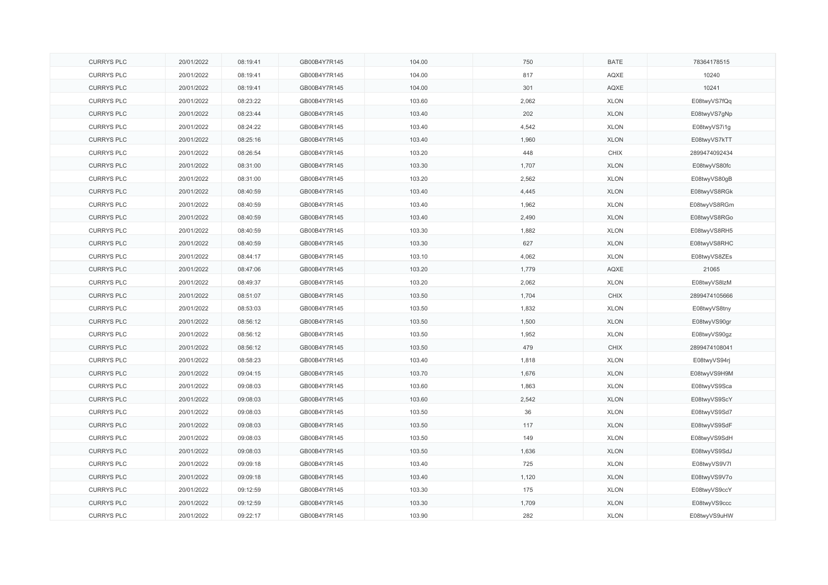| <b>CURRYS PLC</b> | 20/01/2022 | 08:19:41 | GB00B4Y7R145 | 104.00 | 750   | <b>BATE</b> | 78364178515   |
|-------------------|------------|----------|--------------|--------|-------|-------------|---------------|
| <b>CURRYS PLC</b> | 20/01/2022 | 08:19:41 | GB00B4Y7R145 | 104.00 | 817   | AQXE        | 10240         |
| <b>CURRYS PLC</b> | 20/01/2022 | 08:19:41 | GB00B4Y7R145 | 104.00 | 301   | AQXE        | 10241         |
| <b>CURRYS PLC</b> | 20/01/2022 | 08:23:22 | GB00B4Y7R145 | 103.60 | 2,062 | <b>XLON</b> | E08twyVS7fQq  |
| <b>CURRYS PLC</b> | 20/01/2022 | 08:23:44 | GB00B4Y7R145 | 103.40 | 202   | <b>XLON</b> | E08twyVS7gNp  |
| <b>CURRYS PLC</b> | 20/01/2022 | 08:24:22 | GB00B4Y7R145 | 103.40 | 4,542 | <b>XLON</b> | E08twyVS7i1g  |
| <b>CURRYS PLC</b> | 20/01/2022 | 08:25:16 | GB00B4Y7R145 | 103.40 | 1,960 | <b>XLON</b> | E08twyVS7kTT  |
| <b>CURRYS PLC</b> | 20/01/2022 | 08:26:54 | GB00B4Y7R145 | 103.20 | 448   | CHIX        | 2899474092434 |
| <b>CURRYS PLC</b> | 20/01/2022 | 08:31:00 | GB00B4Y7R145 | 103.30 | 1,707 | <b>XLON</b> | E08twyVS80fc  |
| <b>CURRYS PLC</b> | 20/01/2022 | 08:31:00 | GB00B4Y7R145 | 103.20 | 2,562 | <b>XLON</b> | E08twyVS80gB  |
| <b>CURRYS PLC</b> | 20/01/2022 | 08:40:59 | GB00B4Y7R145 | 103.40 | 4,445 | <b>XLON</b> | E08twyVS8RGk  |
| <b>CURRYS PLC</b> | 20/01/2022 | 08:40:59 | GB00B4Y7R145 | 103.40 | 1,962 | <b>XLON</b> | E08twyVS8RGm  |
| <b>CURRYS PLC</b> | 20/01/2022 | 08:40:59 | GB00B4Y7R145 | 103.40 | 2,490 | <b>XLON</b> | E08twyVS8RGo  |
| <b>CURRYS PLC</b> | 20/01/2022 | 08:40:59 | GB00B4Y7R145 | 103.30 | 1,882 | <b>XLON</b> | E08twyVS8RH5  |
| <b>CURRYS PLC</b> | 20/01/2022 | 08:40:59 | GB00B4Y7R145 | 103.30 | 627   | <b>XLON</b> | E08twyVS8RHC  |
| <b>CURRYS PLC</b> | 20/01/2022 | 08:44:17 | GB00B4Y7R145 | 103.10 | 4,062 | <b>XLON</b> | E08twyVS8ZEs  |
| <b>CURRYS PLC</b> | 20/01/2022 | 08:47:06 | GB00B4Y7R145 | 103.20 | 1,779 | AQXE        | 21065         |
| <b>CURRYS PLC</b> | 20/01/2022 | 08:49:37 | GB00B4Y7R145 | 103.20 | 2,062 | <b>XLON</b> | E08twyVS8lzM  |
| <b>CURRYS PLC</b> | 20/01/2022 | 08:51:07 | GB00B4Y7R145 | 103.50 | 1,704 | <b>CHIX</b> | 2899474105666 |
| <b>CURRYS PLC</b> | 20/01/2022 | 08:53:03 | GB00B4Y7R145 | 103.50 | 1,832 | <b>XLON</b> | E08twyVS8tny  |
| <b>CURRYS PLC</b> | 20/01/2022 | 08:56:12 | GB00B4Y7R145 | 103.50 | 1,500 | <b>XLON</b> | E08twyVS90gr  |
| <b>CURRYS PLC</b> | 20/01/2022 | 08:56:12 | GB00B4Y7R145 | 103.50 | 1,952 | <b>XLON</b> | E08twyVS90gz  |
| <b>CURRYS PLC</b> | 20/01/2022 | 08:56:12 | GB00B4Y7R145 | 103.50 | 479   | <b>CHIX</b> | 2899474108041 |
| <b>CURRYS PLC</b> | 20/01/2022 | 08:58:23 | GB00B4Y7R145 | 103.40 | 1,818 | <b>XLON</b> | E08twyVS94rj  |
| <b>CURRYS PLC</b> | 20/01/2022 | 09:04:15 | GB00B4Y7R145 | 103.70 | 1,676 | <b>XLON</b> | E08twyVS9H9M  |
| <b>CURRYS PLC</b> | 20/01/2022 | 09:08:03 | GB00B4Y7R145 | 103.60 | 1,863 | <b>XLON</b> | E08twyVS9Sca  |
| <b>CURRYS PLC</b> | 20/01/2022 | 09:08:03 | GB00B4Y7R145 | 103.60 | 2,542 | <b>XLON</b> | E08twyVS9ScY  |
| <b>CURRYS PLC</b> | 20/01/2022 | 09:08:03 | GB00B4Y7R145 | 103.50 | 36    | <b>XLON</b> | E08twyVS9Sd7  |
| <b>CURRYS PLC</b> | 20/01/2022 | 09:08:03 | GB00B4Y7R145 | 103.50 | 117   | <b>XLON</b> | E08twyVS9SdF  |
| <b>CURRYS PLC</b> | 20/01/2022 | 09:08:03 | GB00B4Y7R145 | 103.50 | 149   | <b>XLON</b> | E08twyVS9SdH  |
| <b>CURRYS PLC</b> | 20/01/2022 | 09:08:03 | GB00B4Y7R145 | 103.50 | 1,636 | <b>XLON</b> | E08twyVS9SdJ  |
| <b>CURRYS PLC</b> | 20/01/2022 | 09:09:18 | GB00B4Y7R145 | 103.40 | 725   | <b>XLON</b> | E08twyVS9V7I  |
| <b>CURRYS PLC</b> | 20/01/2022 | 09:09:18 | GB00B4Y7R145 | 103.40 | 1,120 | <b>XLON</b> | E08twyVS9V7o  |
| <b>CURRYS PLC</b> | 20/01/2022 | 09:12:59 | GB00B4Y7R145 | 103.30 | 175   | <b>XLON</b> | E08twyVS9ccY  |
| <b>CURRYS PLC</b> | 20/01/2022 | 09:12:59 | GB00B4Y7R145 | 103.30 | 1,709 | <b>XLON</b> | E08twyVS9ccc  |
| <b>CURRYS PLC</b> | 20/01/2022 | 09:22:17 | GB00B4Y7R145 | 103.90 | 282   | <b>XLON</b> | E08twyVS9uHW  |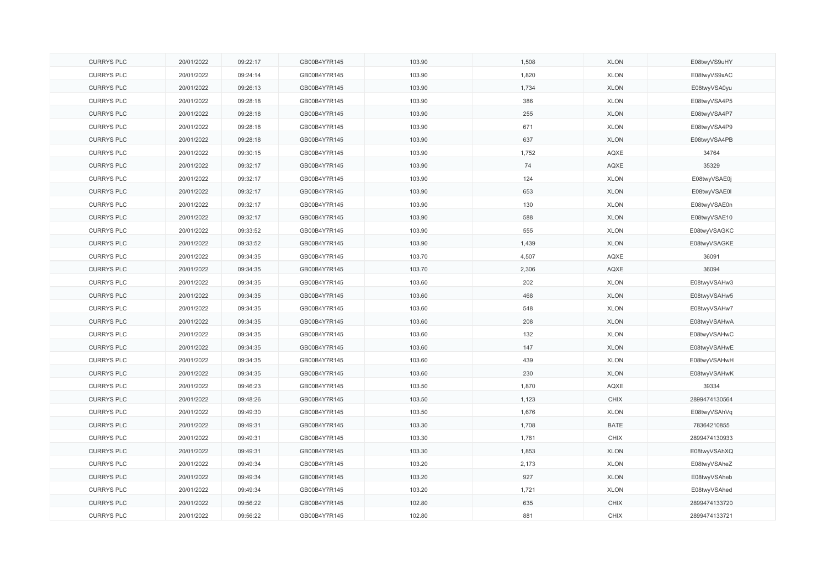| <b>CURRYS PLC</b> | 20/01/2022 | 09:22:17 | GB00B4Y7R145 | 103.90 | 1,508 | <b>XLON</b> | E08twyVS9uHY  |
|-------------------|------------|----------|--------------|--------|-------|-------------|---------------|
| <b>CURRYS PLC</b> | 20/01/2022 | 09:24:14 | GB00B4Y7R145 | 103.90 | 1,820 | <b>XLON</b> | E08twyVS9xAC  |
| <b>CURRYS PLC</b> | 20/01/2022 | 09:26:13 | GB00B4Y7R145 | 103.90 | 1,734 | <b>XLON</b> | E08twyVSA0yu  |
| <b>CURRYS PLC</b> | 20/01/2022 | 09:28:18 | GB00B4Y7R145 | 103.90 | 386   | <b>XLON</b> | E08twyVSA4P5  |
| <b>CURRYS PLC</b> | 20/01/2022 | 09:28:18 | GB00B4Y7R145 | 103.90 | 255   | <b>XLON</b> | E08twyVSA4P7  |
| <b>CURRYS PLC</b> | 20/01/2022 | 09:28:18 | GB00B4Y7R145 | 103.90 | 671   | <b>XLON</b> | E08twyVSA4P9  |
| <b>CURRYS PLC</b> | 20/01/2022 | 09:28:18 | GB00B4Y7R145 | 103.90 | 637   | <b>XLON</b> | E08twyVSA4PB  |
| <b>CURRYS PLC</b> | 20/01/2022 | 09:30:15 | GB00B4Y7R145 | 103.90 | 1,752 | AQXE        | 34764         |
| <b>CURRYS PLC</b> | 20/01/2022 | 09:32:17 | GB00B4Y7R145 | 103.90 | 74    | AQXE        | 35329         |
| <b>CURRYS PLC</b> | 20/01/2022 | 09:32:17 | GB00B4Y7R145 | 103.90 | 124   | <b>XLON</b> | E08twyVSAE0j  |
| <b>CURRYS PLC</b> | 20/01/2022 | 09:32:17 | GB00B4Y7R145 | 103.90 | 653   | <b>XLON</b> | E08twyVSAE0I  |
| <b>CURRYS PLC</b> | 20/01/2022 | 09:32:17 | GB00B4Y7R145 | 103.90 | 130   | <b>XLON</b> | E08twyVSAE0n  |
| <b>CURRYS PLC</b> | 20/01/2022 | 09:32:17 | GB00B4Y7R145 | 103.90 | 588   | <b>XLON</b> | E08twyVSAE10  |
| <b>CURRYS PLC</b> | 20/01/2022 | 09:33:52 | GB00B4Y7R145 | 103.90 | 555   | <b>XLON</b> | E08twyVSAGKC  |
| <b>CURRYS PLC</b> | 20/01/2022 | 09:33:52 | GB00B4Y7R145 | 103.90 | 1,439 | <b>XLON</b> | E08twyVSAGKE  |
| <b>CURRYS PLC</b> | 20/01/2022 | 09:34:35 | GB00B4Y7R145 | 103.70 | 4,507 | AQXE        | 36091         |
| <b>CURRYS PLC</b> | 20/01/2022 | 09:34:35 | GB00B4Y7R145 | 103.70 | 2,306 | AQXE        | 36094         |
| <b>CURRYS PLC</b> | 20/01/2022 | 09:34:35 | GB00B4Y7R145 | 103.60 | 202   | <b>XLON</b> | E08twyVSAHw3  |
| <b>CURRYS PLC</b> | 20/01/2022 | 09:34:35 | GB00B4Y7R145 | 103.60 | 468   | <b>XLON</b> | E08twyVSAHw5  |
| <b>CURRYS PLC</b> | 20/01/2022 | 09:34:35 | GB00B4Y7R145 | 103.60 | 548   | <b>XLON</b> | E08twyVSAHw7  |
| <b>CURRYS PLC</b> | 20/01/2022 | 09:34:35 | GB00B4Y7R145 | 103.60 | 208   | <b>XLON</b> | E08twyVSAHwA  |
| <b>CURRYS PLC</b> | 20/01/2022 | 09:34:35 | GB00B4Y7R145 | 103.60 | 132   | <b>XLON</b> | E08twyVSAHwC  |
| <b>CURRYS PLC</b> | 20/01/2022 | 09:34:35 | GB00B4Y7R145 | 103.60 | 147   | <b>XLON</b> | E08twyVSAHwE  |
| <b>CURRYS PLC</b> | 20/01/2022 | 09:34:35 | GB00B4Y7R145 | 103.60 | 439   | <b>XLON</b> | E08twyVSAHwH  |
| <b>CURRYS PLC</b> | 20/01/2022 | 09:34:35 | GB00B4Y7R145 | 103.60 | 230   | <b>XLON</b> | E08twyVSAHwK  |
| <b>CURRYS PLC</b> | 20/01/2022 | 09:46:23 | GB00B4Y7R145 | 103.50 | 1,870 | AQXE        | 39334         |
| <b>CURRYS PLC</b> | 20/01/2022 | 09:48:26 | GB00B4Y7R145 | 103.50 | 1,123 | CHIX        | 2899474130564 |
| <b>CURRYS PLC</b> | 20/01/2022 | 09:49:30 | GB00B4Y7R145 | 103.50 | 1,676 | <b>XLON</b> | E08twyVSAhVq  |
| <b>CURRYS PLC</b> | 20/01/2022 | 09:49:31 | GB00B4Y7R145 | 103.30 | 1,708 | <b>BATE</b> | 78364210855   |
| <b>CURRYS PLC</b> | 20/01/2022 | 09:49:31 | GB00B4Y7R145 | 103.30 | 1,781 | CHIX        | 2899474130933 |
| <b>CURRYS PLC</b> | 20/01/2022 | 09:49:31 | GB00B4Y7R145 | 103.30 | 1,853 | <b>XLON</b> | E08twyVSAhXQ  |
| <b>CURRYS PLC</b> | 20/01/2022 | 09:49:34 | GB00B4Y7R145 | 103.20 | 2,173 | <b>XLON</b> | E08twyVSAheZ  |
| <b>CURRYS PLC</b> | 20/01/2022 | 09:49:34 | GB00B4Y7R145 | 103.20 | 927   | <b>XLON</b> | E08twyVSAheb  |
| <b>CURRYS PLC</b> | 20/01/2022 | 09:49:34 | GB00B4Y7R145 | 103.20 | 1,721 | <b>XLON</b> | E08twyVSAhed  |
| <b>CURRYS PLC</b> | 20/01/2022 | 09:56:22 | GB00B4Y7R145 | 102.80 | 635   | CHIX        | 2899474133720 |
| <b>CURRYS PLC</b> | 20/01/2022 | 09:56:22 | GB00B4Y7R145 | 102.80 | 881   | <b>CHIX</b> | 2899474133721 |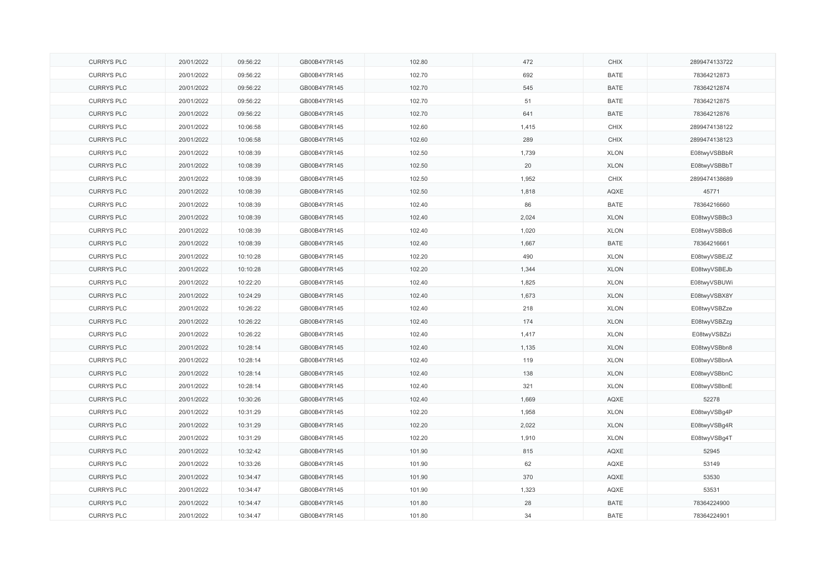| <b>CURRYS PLC</b> | 20/01/2022 | 09:56:22 | GB00B4Y7R145 | 102.80 | 472   | CHIX        | 2899474133722 |
|-------------------|------------|----------|--------------|--------|-------|-------------|---------------|
| <b>CURRYS PLC</b> | 20/01/2022 | 09:56:22 | GB00B4Y7R145 | 102.70 | 692   | <b>BATE</b> | 78364212873   |
| <b>CURRYS PLC</b> | 20/01/2022 | 09:56:22 | GB00B4Y7R145 | 102.70 | 545   | <b>BATE</b> | 78364212874   |
| <b>CURRYS PLC</b> | 20/01/2022 | 09:56:22 | GB00B4Y7R145 | 102.70 | 51    | <b>BATE</b> | 78364212875   |
| <b>CURRYS PLC</b> | 20/01/2022 | 09:56:22 | GB00B4Y7R145 | 102.70 | 641   | <b>BATE</b> | 78364212876   |
| <b>CURRYS PLC</b> | 20/01/2022 | 10:06:58 | GB00B4Y7R145 | 102.60 | 1,415 | <b>CHIX</b> | 2899474138122 |
| <b>CURRYS PLC</b> | 20/01/2022 | 10:06:58 | GB00B4Y7R145 | 102.60 | 289   | <b>CHIX</b> | 2899474138123 |
| <b>CURRYS PLC</b> | 20/01/2022 | 10:08:39 | GB00B4Y7R145 | 102.50 | 1,739 | <b>XLON</b> | E08twyVSBBbR  |
| <b>CURRYS PLC</b> | 20/01/2022 | 10:08:39 | GB00B4Y7R145 | 102.50 | 20    | <b>XLON</b> | E08twyVSBBbT  |
| <b>CURRYS PLC</b> | 20/01/2022 | 10:08:39 | GB00B4Y7R145 | 102.50 | 1,952 | <b>CHIX</b> | 2899474138689 |
| <b>CURRYS PLC</b> | 20/01/2022 | 10:08:39 | GB00B4Y7R145 | 102.50 | 1,818 | AQXE        | 45771         |
| <b>CURRYS PLC</b> | 20/01/2022 | 10:08:39 | GB00B4Y7R145 | 102.40 | 86    | <b>BATE</b> | 78364216660   |
| <b>CURRYS PLC</b> | 20/01/2022 | 10:08:39 | GB00B4Y7R145 | 102.40 | 2,024 | <b>XLON</b> | E08twyVSBBc3  |
| <b>CURRYS PLC</b> | 20/01/2022 | 10:08:39 | GB00B4Y7R145 | 102.40 | 1,020 | <b>XLON</b> | E08twyVSBBc6  |
| <b>CURRYS PLC</b> | 20/01/2022 | 10:08:39 | GB00B4Y7R145 | 102.40 | 1,667 | <b>BATE</b> | 78364216661   |
| <b>CURRYS PLC</b> | 20/01/2022 | 10:10:28 | GB00B4Y7R145 | 102.20 | 490   | <b>XLON</b> | E08twyVSBEJZ  |
| <b>CURRYS PLC</b> | 20/01/2022 | 10:10:28 | GB00B4Y7R145 | 102.20 | 1,344 | <b>XLON</b> | E08twyVSBEJb  |
| <b>CURRYS PLC</b> | 20/01/2022 | 10:22:20 | GB00B4Y7R145 | 102.40 | 1,825 | <b>XLON</b> | E08twyVSBUWi  |
| <b>CURRYS PLC</b> | 20/01/2022 | 10:24:29 | GB00B4Y7R145 | 102.40 | 1,673 | <b>XLON</b> | E08twyVSBX8Y  |
| <b>CURRYS PLC</b> | 20/01/2022 | 10:26:22 | GB00B4Y7R145 | 102.40 | 218   | <b>XLON</b> | E08twyVSBZze  |
| <b>CURRYS PLC</b> | 20/01/2022 | 10:26:22 | GB00B4Y7R145 | 102.40 | 174   | <b>XLON</b> | E08twyVSBZzg  |
| <b>CURRYS PLC</b> | 20/01/2022 | 10:26:22 | GB00B4Y7R145 | 102.40 | 1,417 | <b>XLON</b> | E08twyVSBZzi  |
| <b>CURRYS PLC</b> | 20/01/2022 | 10:28:14 | GB00B4Y7R145 | 102.40 | 1,135 | <b>XLON</b> | E08twyVSBbn8  |
| <b>CURRYS PLC</b> | 20/01/2022 | 10:28:14 | GB00B4Y7R145 | 102.40 | 119   | <b>XLON</b> | E08twyVSBbnA  |
| <b>CURRYS PLC</b> | 20/01/2022 | 10:28:14 | GB00B4Y7R145 | 102.40 | 138   | <b>XLON</b> | E08twyVSBbnC  |
| <b>CURRYS PLC</b> | 20/01/2022 | 10:28:14 | GB00B4Y7R145 | 102.40 | 321   | <b>XLON</b> | E08twyVSBbnE  |
| <b>CURRYS PLC</b> | 20/01/2022 | 10:30:26 | GB00B4Y7R145 | 102.40 | 1,669 | AQXE        | 52278         |
| <b>CURRYS PLC</b> | 20/01/2022 | 10:31:29 | GB00B4Y7R145 | 102.20 | 1,958 | <b>XLON</b> | E08twyVSBg4P  |
| <b>CURRYS PLC</b> | 20/01/2022 | 10:31:29 | GB00B4Y7R145 | 102.20 | 2,022 | <b>XLON</b> | E08twyVSBg4R  |
| <b>CURRYS PLC</b> | 20/01/2022 | 10:31:29 | GB00B4Y7R145 | 102.20 | 1,910 | <b>XLON</b> | E08twyVSBg4T  |
| <b>CURRYS PLC</b> | 20/01/2022 | 10:32:42 | GB00B4Y7R145 | 101.90 | 815   | AQXE        | 52945         |
| <b>CURRYS PLC</b> | 20/01/2022 | 10:33:26 | GB00B4Y7R145 | 101.90 | 62    | AQXE        | 53149         |
| <b>CURRYS PLC</b> | 20/01/2022 | 10:34:47 | GB00B4Y7R145 | 101.90 | 370   | AQXE        | 53530         |
| <b>CURRYS PLC</b> | 20/01/2022 | 10:34:47 | GB00B4Y7R145 | 101.90 | 1,323 | AQXE        | 53531         |
| <b>CURRYS PLC</b> | 20/01/2022 | 10:34:47 | GB00B4Y7R145 | 101.80 | 28    | <b>BATE</b> | 78364224900   |
| <b>CURRYS PLC</b> | 20/01/2022 | 10:34:47 | GB00B4Y7R145 | 101.80 | 34    | <b>BATE</b> | 78364224901   |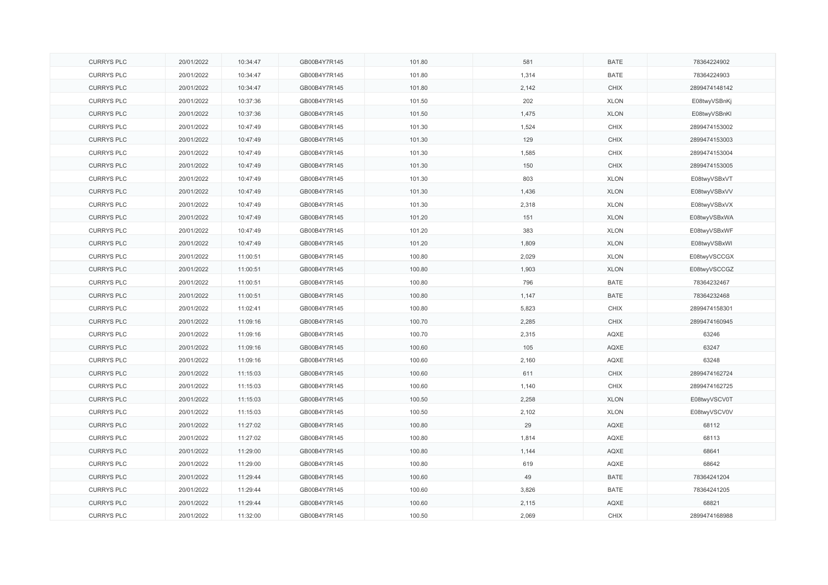| <b>CURRYS PLC</b> | 20/01/2022 | 10:34:47 | GB00B4Y7R145 | 101.80 | 581   | <b>BATE</b> | 78364224902   |
|-------------------|------------|----------|--------------|--------|-------|-------------|---------------|
| <b>CURRYS PLC</b> | 20/01/2022 | 10:34:47 | GB00B4Y7R145 | 101.80 | 1,314 | <b>BATE</b> | 78364224903   |
| <b>CURRYS PLC</b> | 20/01/2022 | 10:34:47 | GB00B4Y7R145 | 101.80 | 2,142 | CHIX        | 2899474148142 |
| <b>CURRYS PLC</b> | 20/01/2022 | 10:37:36 | GB00B4Y7R145 | 101.50 | 202   | <b>XLON</b> | E08twyVSBnKj  |
| <b>CURRYS PLC</b> | 20/01/2022 | 10:37:36 | GB00B4Y7R145 | 101.50 | 1,475 | <b>XLON</b> | E08twyVSBnKl  |
| <b>CURRYS PLC</b> | 20/01/2022 | 10:47:49 | GB00B4Y7R145 | 101.30 | 1,524 | <b>CHIX</b> | 2899474153002 |
| <b>CURRYS PLC</b> | 20/01/2022 | 10:47:49 | GB00B4Y7R145 | 101.30 | 129   | <b>CHIX</b> | 2899474153003 |
| <b>CURRYS PLC</b> | 20/01/2022 | 10:47:49 | GB00B4Y7R145 | 101.30 | 1,585 | CHIX        | 2899474153004 |
| <b>CURRYS PLC</b> | 20/01/2022 | 10:47:49 | GB00B4Y7R145 | 101.30 | 150   | <b>CHIX</b> | 2899474153005 |
| <b>CURRYS PLC</b> | 20/01/2022 | 10:47:49 | GB00B4Y7R145 | 101.30 | 803   | <b>XLON</b> | E08twyVSBxVT  |
| <b>CURRYS PLC</b> | 20/01/2022 | 10:47:49 | GB00B4Y7R145 | 101.30 | 1,436 | <b>XLON</b> | E08twyVSBxVV  |
| <b>CURRYS PLC</b> | 20/01/2022 | 10:47:49 | GB00B4Y7R145 | 101.30 | 2,318 | <b>XLON</b> | E08twyVSBxVX  |
| <b>CURRYS PLC</b> | 20/01/2022 | 10:47:49 | GB00B4Y7R145 | 101.20 | 151   | <b>XLON</b> | E08twyVSBxWA  |
| <b>CURRYS PLC</b> | 20/01/2022 | 10:47:49 | GB00B4Y7R145 | 101.20 | 383   | <b>XLON</b> | E08twyVSBxWF  |
| <b>CURRYS PLC</b> | 20/01/2022 | 10:47:49 | GB00B4Y7R145 | 101.20 | 1,809 | <b>XLON</b> | E08twyVSBxWI  |
| <b>CURRYS PLC</b> | 20/01/2022 | 11:00:51 | GB00B4Y7R145 | 100.80 | 2,029 | <b>XLON</b> | E08twyVSCCGX  |
| <b>CURRYS PLC</b> | 20/01/2022 | 11:00:51 | GB00B4Y7R145 | 100.80 | 1,903 | <b>XLON</b> | E08twyVSCCGZ  |
| <b>CURRYS PLC</b> | 20/01/2022 | 11:00:51 | GB00B4Y7R145 | 100.80 | 796   | <b>BATE</b> | 78364232467   |
| <b>CURRYS PLC</b> | 20/01/2022 | 11:00:51 | GB00B4Y7R145 | 100.80 | 1,147 | <b>BATE</b> | 78364232468   |
| <b>CURRYS PLC</b> | 20/01/2022 | 11:02:41 | GB00B4Y7R145 | 100.80 | 5,823 | <b>CHIX</b> | 2899474158301 |
| <b>CURRYS PLC</b> | 20/01/2022 | 11:09:16 | GB00B4Y7R145 | 100.70 | 2,285 | <b>CHIX</b> | 2899474160945 |
| <b>CURRYS PLC</b> | 20/01/2022 | 11:09:16 | GB00B4Y7R145 | 100.70 | 2,315 | AQXE        | 63246         |
| <b>CURRYS PLC</b> | 20/01/2022 | 11:09:16 | GB00B4Y7R145 | 100.60 | 105   | AQXE        | 63247         |
| <b>CURRYS PLC</b> | 20/01/2022 | 11:09:16 | GB00B4Y7R145 | 100.60 | 2,160 | AQXE        | 63248         |
| <b>CURRYS PLC</b> | 20/01/2022 | 11:15:03 | GB00B4Y7R145 | 100.60 | 611   | CHIX        | 2899474162724 |
| <b>CURRYS PLC</b> | 20/01/2022 | 11:15:03 | GB00B4Y7R145 | 100.60 | 1,140 | <b>CHIX</b> | 2899474162725 |
| <b>CURRYS PLC</b> | 20/01/2022 | 11:15:03 | GB00B4Y7R145 | 100.50 | 2,258 | <b>XLON</b> | E08twyVSCV0T  |
| <b>CURRYS PLC</b> | 20/01/2022 | 11:15:03 | GB00B4Y7R145 | 100.50 | 2,102 | <b>XLON</b> | E08twyVSCV0V  |
| <b>CURRYS PLC</b> | 20/01/2022 | 11:27:02 | GB00B4Y7R145 | 100.80 | 29    | AQXE        | 68112         |
| <b>CURRYS PLC</b> | 20/01/2022 | 11:27:02 | GB00B4Y7R145 | 100.80 | 1,814 | AQXE        | 68113         |
| <b>CURRYS PLC</b> | 20/01/2022 | 11:29:00 | GB00B4Y7R145 | 100.80 | 1,144 | AQXE        | 68641         |
| <b>CURRYS PLC</b> | 20/01/2022 | 11:29:00 | GB00B4Y7R145 | 100.80 | 619   | AQXE        | 68642         |
| <b>CURRYS PLC</b> | 20/01/2022 | 11:29:44 | GB00B4Y7R145 | 100.60 | 49    | <b>BATE</b> | 78364241204   |
| <b>CURRYS PLC</b> | 20/01/2022 | 11:29:44 | GB00B4Y7R145 | 100.60 | 3,826 | <b>BATE</b> | 78364241205   |
| <b>CURRYS PLC</b> | 20/01/2022 | 11:29:44 | GB00B4Y7R145 | 100.60 | 2,115 | AQXE        | 68821         |
| <b>CURRYS PLC</b> | 20/01/2022 | 11:32:00 | GB00B4Y7R145 | 100.50 | 2,069 | CHIX        | 2899474168988 |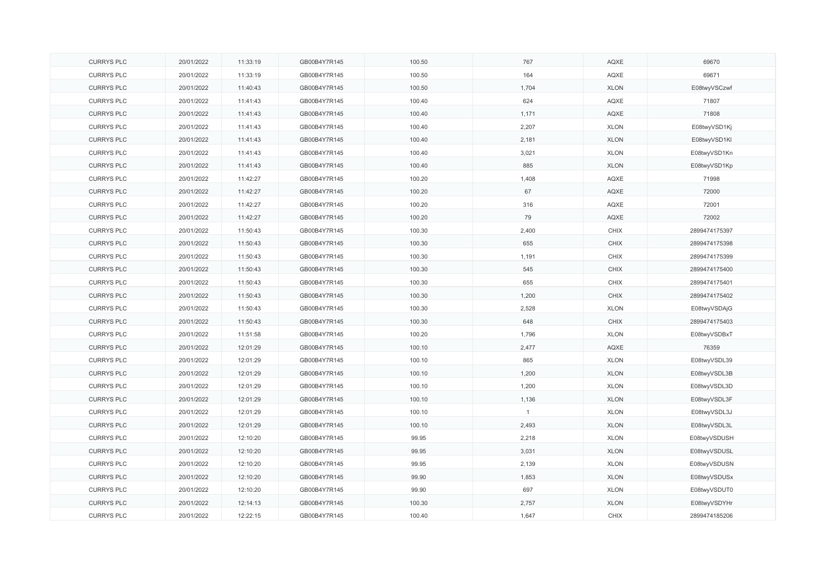| <b>CURRYS PLC</b> | 20/01/2022 | 11:33:19 | GB00B4Y7R145 | 100.50 | 767          | AQXE        | 69670         |
|-------------------|------------|----------|--------------|--------|--------------|-------------|---------------|
| <b>CURRYS PLC</b> | 20/01/2022 | 11:33:19 | GB00B4Y7R145 | 100.50 | 164          | AQXE        | 69671         |
| <b>CURRYS PLC</b> | 20/01/2022 | 11:40:43 | GB00B4Y7R145 | 100.50 | 1,704        | <b>XLON</b> | E08twyVSCzwf  |
| <b>CURRYS PLC</b> | 20/01/2022 | 11:41:43 | GB00B4Y7R145 | 100.40 | 624          | AQXE        | 71807         |
| <b>CURRYS PLC</b> | 20/01/2022 | 11:41:43 | GB00B4Y7R145 | 100.40 | 1,171        | AQXE        | 71808         |
| <b>CURRYS PLC</b> | 20/01/2022 | 11:41:43 | GB00B4Y7R145 | 100.40 | 2,207        | <b>XLON</b> | E08twyVSD1Kj  |
| <b>CURRYS PLC</b> | 20/01/2022 | 11:41:43 | GB00B4Y7R145 | 100.40 | 2,181        | <b>XLON</b> | E08twyVSD1KI  |
| <b>CURRYS PLC</b> | 20/01/2022 | 11:41:43 | GB00B4Y7R145 | 100.40 | 3,021        | <b>XLON</b> | E08twyVSD1Kn  |
| <b>CURRYS PLC</b> | 20/01/2022 | 11:41:43 | GB00B4Y7R145 | 100.40 | 885          | <b>XLON</b> | E08twyVSD1Kp  |
| <b>CURRYS PLC</b> | 20/01/2022 | 11:42:27 | GB00B4Y7R145 | 100.20 | 1,408        | AQXE        | 71998         |
| <b>CURRYS PLC</b> | 20/01/2022 | 11:42:27 | GB00B4Y7R145 | 100.20 | 67           | AQXE        | 72000         |
| <b>CURRYS PLC</b> | 20/01/2022 | 11:42:27 | GB00B4Y7R145 | 100.20 | 316          | AQXE        | 72001         |
| <b>CURRYS PLC</b> | 20/01/2022 | 11:42:27 | GB00B4Y7R145 | 100.20 | 79           | AQXE        | 72002         |
| <b>CURRYS PLC</b> | 20/01/2022 | 11:50:43 | GB00B4Y7R145 | 100.30 | 2,400        | CHIX        | 2899474175397 |
| <b>CURRYS PLC</b> | 20/01/2022 | 11:50:43 | GB00B4Y7R145 | 100.30 | 655          | CHIX        | 2899474175398 |
| <b>CURRYS PLC</b> | 20/01/2022 | 11:50:43 | GB00B4Y7R145 | 100.30 | 1,191        | CHIX        | 2899474175399 |
| <b>CURRYS PLC</b> | 20/01/2022 | 11:50:43 | GB00B4Y7R145 | 100.30 | 545          | CHIX        | 2899474175400 |
| <b>CURRYS PLC</b> | 20/01/2022 | 11:50:43 | GB00B4Y7R145 | 100.30 | 655          | CHIX        | 2899474175401 |
| <b>CURRYS PLC</b> | 20/01/2022 | 11:50:43 | GB00B4Y7R145 | 100.30 | 1,200        | <b>CHIX</b> | 2899474175402 |
| <b>CURRYS PLC</b> | 20/01/2022 | 11:50:43 | GB00B4Y7R145 | 100.30 | 2,528        | <b>XLON</b> | E08twyVSDAjG  |
| <b>CURRYS PLC</b> | 20/01/2022 | 11:50:43 | GB00B4Y7R145 | 100.30 | 648          | CHIX        | 2899474175403 |
| <b>CURRYS PLC</b> | 20/01/2022 | 11:51:58 | GB00B4Y7R145 | 100.20 | 1,796        | <b>XLON</b> | E08twyVSDBxT  |
| <b>CURRYS PLC</b> | 20/01/2022 | 12:01:29 | GB00B4Y7R145 | 100.10 | 2,477        | AQXE        | 76359         |
| <b>CURRYS PLC</b> | 20/01/2022 | 12:01:29 | GB00B4Y7R145 | 100.10 | 865          | <b>XLON</b> | E08twyVSDL39  |
| <b>CURRYS PLC</b> | 20/01/2022 | 12:01:29 | GB00B4Y7R145 | 100.10 | 1,200        | <b>XLON</b> | E08twyVSDL3B  |
| <b>CURRYS PLC</b> | 20/01/2022 | 12:01:29 | GB00B4Y7R145 | 100.10 | 1,200        | <b>XLON</b> | E08twyVSDL3D  |
| <b>CURRYS PLC</b> | 20/01/2022 | 12:01:29 | GB00B4Y7R145 | 100.10 | 1,136        | <b>XLON</b> | E08twyVSDL3F  |
| <b>CURRYS PLC</b> | 20/01/2022 | 12:01:29 | GB00B4Y7R145 | 100.10 | $\mathbf{1}$ | <b>XLON</b> | E08twyVSDL3J  |
| <b>CURRYS PLC</b> | 20/01/2022 | 12:01:29 | GB00B4Y7R145 | 100.10 | 2,493        | <b>XLON</b> | E08twyVSDL3L  |
| <b>CURRYS PLC</b> | 20/01/2022 | 12:10:20 | GB00B4Y7R145 | 99.95  | 2,218        | <b>XLON</b> | E08twyVSDUSH  |
| <b>CURRYS PLC</b> | 20/01/2022 | 12:10:20 | GB00B4Y7R145 | 99.95  | 3,031        | <b>XLON</b> | E08twyVSDUSL  |
| <b>CURRYS PLC</b> | 20/01/2022 | 12:10:20 | GB00B4Y7R145 | 99.95  | 2,139        | <b>XLON</b> | E08twyVSDUSN  |
| <b>CURRYS PLC</b> | 20/01/2022 | 12:10:20 | GB00B4Y7R145 | 99.90  | 1,853        | <b>XLON</b> | E08twyVSDUSx  |
| <b>CURRYS PLC</b> | 20/01/2022 | 12:10:20 | GB00B4Y7R145 | 99.90  | 697          | <b>XLON</b> | E08twyVSDUT0  |
| <b>CURRYS PLC</b> | 20/01/2022 | 12:14:13 | GB00B4Y7R145 | 100.30 | 2,757        | <b>XLON</b> | E08twyVSDYHr  |
| <b>CURRYS PLC</b> | 20/01/2022 | 12:22:15 | GB00B4Y7R145 | 100.40 | 1,647        | CHIX        | 2899474185206 |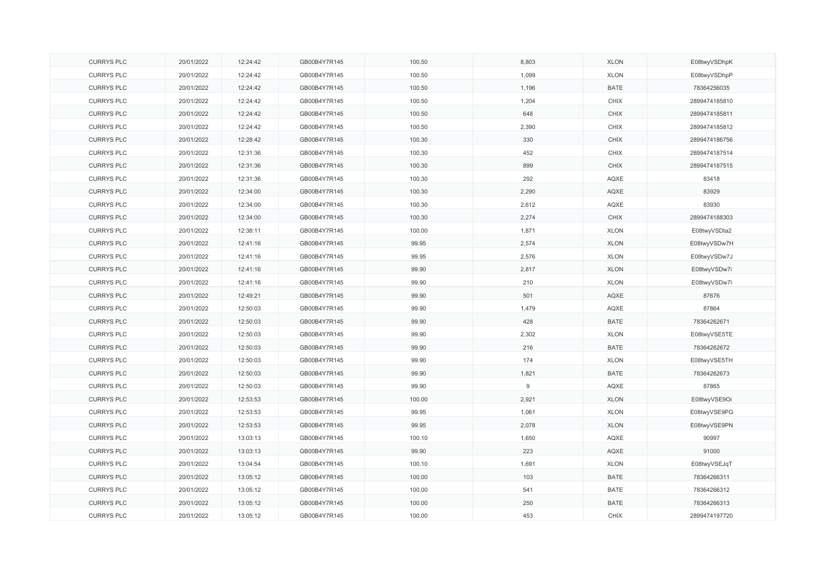| <b>CURRYS PLC</b> | 20/01/2022 | 12:24:42 | GB00B4Y7R145 | 100.50 | 8,803 | <b>XLON</b> | E08twyVSDhpK  |
|-------------------|------------|----------|--------------|--------|-------|-------------|---------------|
| <b>CURRYS PLC</b> | 20/01/2022 | 12:24:42 | GB00B4Y7R145 | 100.50 | 1,099 | <b>XLON</b> | E08twyVSDhpP  |
| <b>CURRYS PLC</b> | 20/01/2022 | 12:24:42 | GB00B4Y7R145 | 100.50 | 1,196 | <b>BATE</b> | 78364256035   |
| <b>CURRYS PLC</b> | 20/01/2022 | 12:24:42 | GB00B4Y7R145 | 100.50 | 1,204 | CHIX        | 2899474185810 |
| <b>CURRYS PLC</b> | 20/01/2022 | 12:24:42 | GB00B4Y7R145 | 100.50 | 648   | CHIX        | 2899474185811 |
| <b>CURRYS PLC</b> | 20/01/2022 | 12:24:42 | GB00B4Y7R145 | 100.50 | 2,390 | CHIX        | 2899474185812 |
| <b>CURRYS PLC</b> | 20/01/2022 | 12:28:42 | GB00B4Y7R145 | 100.30 | 330   | CHIX        | 2899474186756 |
| <b>CURRYS PLC</b> | 20/01/2022 | 12:31:36 | GB00B4Y7R145 | 100.30 | 452   | CHIX        | 2899474187514 |
| <b>CURRYS PLC</b> | 20/01/2022 | 12:31:36 | GB00B4Y7R145 | 100.30 | 899   | <b>CHIX</b> | 2899474187515 |
| <b>CURRYS PLC</b> | 20/01/2022 | 12:31:36 | GB00B4Y7R145 | 100.30 | 292   | AQXE        | 83418         |
| <b>CURRYS PLC</b> | 20/01/2022 | 12:34:00 | GB00B4Y7R145 | 100.30 | 2,290 | AQXE        | 83929         |
| <b>CURRYS PLC</b> | 20/01/2022 | 12:34:00 | GB00B4Y7R145 | 100.30 | 2,612 | AQXE        | 83930         |
| <b>CURRYS PLC</b> | 20/01/2022 | 12:34:00 | GB00B4Y7R145 | 100.30 | 2,274 | <b>CHIX</b> | 2899474188303 |
| <b>CURRYS PLC</b> | 20/01/2022 | 12:38:11 | GB00B4Y7R145 | 100.00 | 1,871 | <b>XLON</b> | E08twyVSDta2  |
| <b>CURRYS PLC</b> | 20/01/2022 | 12:41:16 | GB00B4Y7R145 | 99.95  | 2,574 | <b>XLON</b> | E08twyVSDw7H  |
| <b>CURRYS PLC</b> | 20/01/2022 | 12:41:16 | GB00B4Y7R145 | 99.95  | 2,576 | <b>XLON</b> | E08twyVSDw7J  |
| <b>CURRYS PLC</b> | 20/01/2022 | 12:41:16 | GB00B4Y7R145 | 99.90  | 2,817 | <b>XLON</b> | E08twyVSDw7i  |
| <b>CURRYS PLC</b> | 20/01/2022 | 12:41:16 | GB00B4Y7R145 | 99.90  | 210   | <b>XLON</b> | E08twyVSDw7l  |
| <b>CURRYS PLC</b> | 20/01/2022 | 12:49:21 | GB00B4Y7R145 | 99.90  | 501   | AQXE        | 87676         |
| <b>CURRYS PLC</b> | 20/01/2022 | 12:50:03 | GB00B4Y7R145 | 99.90  | 1,479 | AQXE        | 87864         |
| <b>CURRYS PLC</b> | 20/01/2022 | 12:50:03 | GB00B4Y7R145 | 99.90  | 428   | <b>BATE</b> | 78364262671   |
| <b>CURRYS PLC</b> | 20/01/2022 | 12:50:03 | GB00B4Y7R145 | 99.90  | 2,302 | <b>XLON</b> | E08twyVSE5TE  |
| <b>CURRYS PLC</b> | 20/01/2022 | 12:50:03 | GB00B4Y7R145 | 99.90  | 216   | <b>BATE</b> | 78364262672   |
| <b>CURRYS PLC</b> | 20/01/2022 | 12:50:03 | GB00B4Y7R145 | 99.90  | 174   | <b>XLON</b> | E08twyVSE5TH  |
| <b>CURRYS PLC</b> | 20/01/2022 | 12:50:03 | GB00B4Y7R145 | 99.90  | 1,821 | <b>BATE</b> | 78364262673   |
| <b>CURRYS PLC</b> | 20/01/2022 | 12:50:03 | GB00B4Y7R145 | 99.90  | $9\,$ | AQXE        | 87865         |
| <b>CURRYS PLC</b> | 20/01/2022 | 12:53:53 | GB00B4Y7R145 | 100.00 | 2,921 | <b>XLON</b> | E08twyVSE9Oi  |
| <b>CURRYS PLC</b> | 20/01/2022 | 12:53:53 | GB00B4Y7R145 | 99.95  | 1,061 | <b>XLON</b> | E08twyVSE9PG  |
| <b>CURRYS PLC</b> | 20/01/2022 | 12:53:53 | GB00B4Y7R145 | 99.95  | 2,078 | <b>XLON</b> | E08twyVSE9PN  |
| <b>CURRYS PLC</b> | 20/01/2022 | 13:03:13 | GB00B4Y7R145 | 100.10 | 1,650 | AQXE        | 90997         |
| <b>CURRYS PLC</b> | 20/01/2022 | 13:03:13 | GB00B4Y7R145 | 99.90  | 223   | AQXE        | 91000         |
| <b>CURRYS PLC</b> | 20/01/2022 | 13:04:54 | GB00B4Y7R145 | 100.10 | 1,691 | <b>XLON</b> | E08twyVSEJqT  |
| <b>CURRYS PLC</b> | 20/01/2022 | 13:05:12 | GB00B4Y7R145 | 100.00 | 103   | <b>BATE</b> | 78364266311   |
| <b>CURRYS PLC</b> | 20/01/2022 | 13:05:12 | GB00B4Y7R145 | 100.00 | 541   | <b>BATE</b> | 78364266312   |
| <b>CURRYS PLC</b> | 20/01/2022 | 13:05:12 | GB00B4Y7R145 | 100.00 | 250   | <b>BATE</b> | 78364266313   |
| <b>CURRYS PLC</b> | 20/01/2022 | 13:05:12 | GB00B4Y7R145 | 100.00 | 453   | CHIX        | 2899474197720 |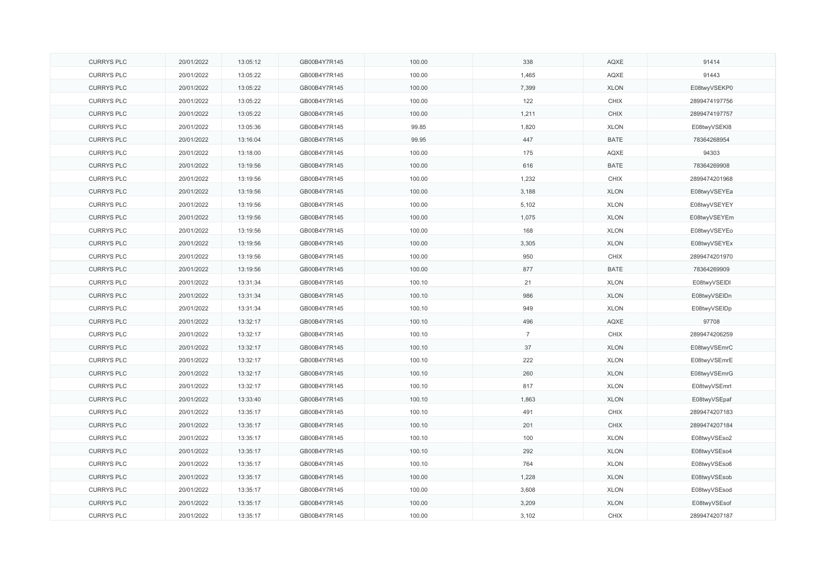| <b>CURRYS PLC</b> | 20/01/2022 | 13:05:12 | GB00B4Y7R145 | 100.00 | 338            | AQXE        | 91414         |
|-------------------|------------|----------|--------------|--------|----------------|-------------|---------------|
| <b>CURRYS PLC</b> | 20/01/2022 | 13:05:22 | GB00B4Y7R145 | 100.00 | 1,465          | AQXE        | 91443         |
| <b>CURRYS PLC</b> | 20/01/2022 | 13:05:22 | GB00B4Y7R145 | 100.00 | 7,399          | <b>XLON</b> | E08twyVSEKP0  |
| <b>CURRYS PLC</b> | 20/01/2022 | 13:05:22 | GB00B4Y7R145 | 100.00 | 122            | CHIX        | 2899474197756 |
| <b>CURRYS PLC</b> | 20/01/2022 | 13:05:22 | GB00B4Y7R145 | 100.00 | 1,211          | <b>CHIX</b> | 2899474197757 |
| <b>CURRYS PLC</b> | 20/01/2022 | 13:05:36 | GB00B4Y7R145 | 99.85  | 1,820          | <b>XLON</b> | E08twyVSEKI8  |
| <b>CURRYS PLC</b> | 20/01/2022 | 13:16:04 | GB00B4Y7R145 | 99.95  | 447            | <b>BATE</b> | 78364268954   |
| <b>CURRYS PLC</b> | 20/01/2022 | 13:18:00 | GB00B4Y7R145 | 100.00 | 175            | AQXE        | 94303         |
| <b>CURRYS PLC</b> | 20/01/2022 | 13:19:56 | GB00B4Y7R145 | 100.00 | 616            | <b>BATE</b> | 78364269908   |
| <b>CURRYS PLC</b> | 20/01/2022 | 13:19:56 | GB00B4Y7R145 | 100.00 | 1,232          | <b>CHIX</b> | 2899474201968 |
| <b>CURRYS PLC</b> | 20/01/2022 | 13:19:56 | GB00B4Y7R145 | 100.00 | 3,188          | <b>XLON</b> | E08twyVSEYEa  |
| <b>CURRYS PLC</b> | 20/01/2022 | 13:19:56 | GB00B4Y7R145 | 100.00 | 5,102          | <b>XLON</b> | E08twyVSEYEY  |
| <b>CURRYS PLC</b> | 20/01/2022 | 13:19:56 | GB00B4Y7R145 | 100.00 | 1,075          | <b>XLON</b> | E08twyVSEYEm  |
| <b>CURRYS PLC</b> | 20/01/2022 | 13:19:56 | GB00B4Y7R145 | 100.00 | 168            | <b>XLON</b> | E08twyVSEYEo  |
| <b>CURRYS PLC</b> | 20/01/2022 | 13:19:56 | GB00B4Y7R145 | 100.00 | 3,305          | <b>XLON</b> | E08twyVSEYEx  |
| <b>CURRYS PLC</b> | 20/01/2022 | 13:19:56 | GB00B4Y7R145 | 100.00 | 950            | CHIX        | 2899474201970 |
| <b>CURRYS PLC</b> | 20/01/2022 | 13:19:56 | GB00B4Y7R145 | 100.00 | 877            | <b>BATE</b> | 78364269909   |
| <b>CURRYS PLC</b> | 20/01/2022 | 13:31:34 | GB00B4Y7R145 | 100.10 | 21             | <b>XLON</b> | E08twyVSEIDI  |
| <b>CURRYS PLC</b> | 20/01/2022 | 13:31:34 | GB00B4Y7R145 | 100.10 | 986            | <b>XLON</b> | E08twyVSEIDn  |
| <b>CURRYS PLC</b> | 20/01/2022 | 13:31:34 | GB00B4Y7R145 | 100.10 | 949            | <b>XLON</b> | E08twyVSEIDp  |
| <b>CURRYS PLC</b> | 20/01/2022 | 13:32:17 | GB00B4Y7R145 | 100.10 | 496            | AQXE        | 97708         |
| <b>CURRYS PLC</b> | 20/01/2022 | 13:32:17 | GB00B4Y7R145 | 100.10 | $\overline{7}$ | CHIX        | 2899474206259 |
| <b>CURRYS PLC</b> | 20/01/2022 | 13:32:17 | GB00B4Y7R145 | 100.10 | 37             | <b>XLON</b> | E08twyVSEmrC  |
| <b>CURRYS PLC</b> | 20/01/2022 | 13:32:17 | GB00B4Y7R145 | 100.10 | 222            | <b>XLON</b> | E08twyVSEmrE  |
| <b>CURRYS PLC</b> | 20/01/2022 | 13:32:17 | GB00B4Y7R145 | 100.10 | 260            | <b>XLON</b> | E08twyVSEmrG  |
| <b>CURRYS PLC</b> | 20/01/2022 | 13:32:17 | GB00B4Y7R145 | 100.10 | 817            | <b>XLON</b> | E08twyVSEmrl  |
| <b>CURRYS PLC</b> | 20/01/2022 | 13:33:40 | GB00B4Y7R145 | 100.10 | 1,863          | <b>XLON</b> | E08twyVSEpaf  |
| <b>CURRYS PLC</b> | 20/01/2022 | 13:35:17 | GB00B4Y7R145 | 100.10 | 491            | CHIX        | 2899474207183 |
| <b>CURRYS PLC</b> | 20/01/2022 | 13:35:17 | GB00B4Y7R145 | 100.10 | 201            | <b>CHIX</b> | 2899474207184 |
| <b>CURRYS PLC</b> | 20/01/2022 | 13:35:17 | GB00B4Y7R145 | 100.10 | 100            | <b>XLON</b> | E08twyVSEso2  |
| <b>CURRYS PLC</b> | 20/01/2022 | 13:35:17 | GB00B4Y7R145 | 100.10 | 292            | <b>XLON</b> | E08twyVSEso4  |
| <b>CURRYS PLC</b> | 20/01/2022 | 13:35:17 | GB00B4Y7R145 | 100.10 | 764            | <b>XLON</b> | E08twyVSEso6  |
| <b>CURRYS PLC</b> | 20/01/2022 | 13:35:17 | GB00B4Y7R145 | 100.00 | 1,228          | <b>XLON</b> | E08twyVSEsob  |
| <b>CURRYS PLC</b> | 20/01/2022 | 13:35:17 | GB00B4Y7R145 | 100.00 | 3,608          | <b>XLON</b> | E08twyVSEsod  |
| <b>CURRYS PLC</b> | 20/01/2022 | 13:35:17 | GB00B4Y7R145 | 100.00 | 3,209          | <b>XLON</b> | E08twyVSEsof  |
| <b>CURRYS PLC</b> | 20/01/2022 | 13:35:17 | GB00B4Y7R145 | 100.00 | 3,102          | <b>CHIX</b> | 2899474207187 |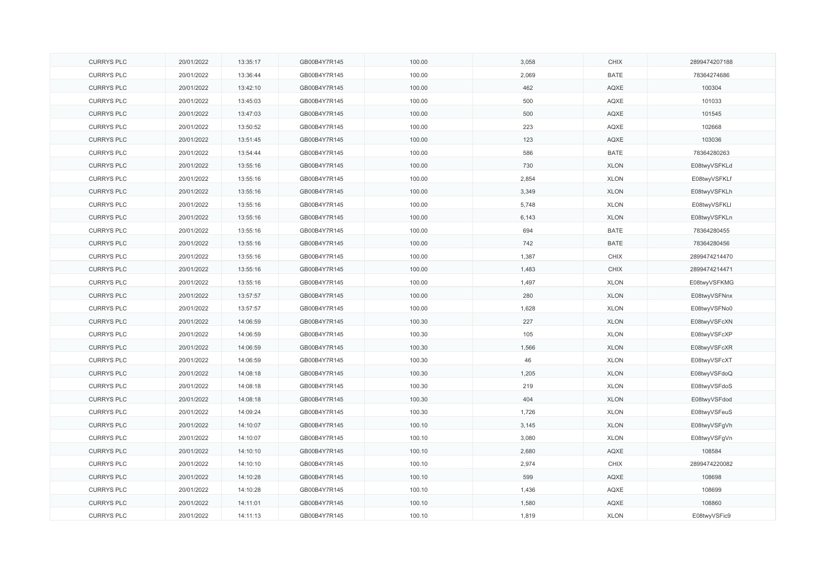| <b>CURRYS PLC</b> | 20/01/2022 | 13:35:17 | GB00B4Y7R145 | 100.00 | 3,058 | CHIX        | 2899474207188 |
|-------------------|------------|----------|--------------|--------|-------|-------------|---------------|
| <b>CURRYS PLC</b> | 20/01/2022 | 13:36:44 | GB00B4Y7R145 | 100.00 | 2,069 | <b>BATE</b> | 78364274686   |
| <b>CURRYS PLC</b> | 20/01/2022 | 13:42:10 | GB00B4Y7R145 | 100.00 | 462   | AQXE        | 100304        |
| <b>CURRYS PLC</b> | 20/01/2022 | 13:45:03 | GB00B4Y7R145 | 100.00 | 500   | AQXE        | 101033        |
| <b>CURRYS PLC</b> | 20/01/2022 | 13:47:03 | GB00B4Y7R145 | 100.00 | 500   | AQXE        | 101545        |
| <b>CURRYS PLC</b> | 20/01/2022 | 13:50:52 | GB00B4Y7R145 | 100.00 | 223   | AQXE        | 102668        |
| <b>CURRYS PLC</b> | 20/01/2022 | 13:51:45 | GB00B4Y7R145 | 100.00 | 123   | AQXE        | 103036        |
| <b>CURRYS PLC</b> | 20/01/2022 | 13:54:44 | GB00B4Y7R145 | 100.00 | 586   | <b>BATE</b> | 78364280263   |
| <b>CURRYS PLC</b> | 20/01/2022 | 13:55:16 | GB00B4Y7R145 | 100.00 | 730   | <b>XLON</b> | E08twyVSFKLd  |
| <b>CURRYS PLC</b> | 20/01/2022 | 13:55:16 | GB00B4Y7R145 | 100.00 | 2,854 | <b>XLON</b> | E08twyVSFKLf  |
| <b>CURRYS PLC</b> | 20/01/2022 | 13:55:16 | GB00B4Y7R145 | 100.00 | 3,349 | <b>XLON</b> | E08twyVSFKLh  |
| <b>CURRYS PLC</b> | 20/01/2022 | 13:55:16 | GB00B4Y7R145 | 100.00 | 5,748 | <b>XLON</b> | E08twyVSFKLI  |
| <b>CURRYS PLC</b> | 20/01/2022 | 13:55:16 | GB00B4Y7R145 | 100.00 | 6,143 | <b>XLON</b> | E08twyVSFKLn  |
| <b>CURRYS PLC</b> | 20/01/2022 | 13:55:16 | GB00B4Y7R145 | 100.00 | 694   | <b>BATE</b> | 78364280455   |
| <b>CURRYS PLC</b> | 20/01/2022 | 13:55:16 | GB00B4Y7R145 | 100.00 | 742   | <b>BATE</b> | 78364280456   |
| <b>CURRYS PLC</b> | 20/01/2022 | 13:55:16 | GB00B4Y7R145 | 100.00 | 1,387 | CHIX        | 2899474214470 |
| <b>CURRYS PLC</b> | 20/01/2022 | 13:55:16 | GB00B4Y7R145 | 100.00 | 1,483 | <b>CHIX</b> | 2899474214471 |
| <b>CURRYS PLC</b> | 20/01/2022 | 13:55:16 | GB00B4Y7R145 | 100.00 | 1,497 | <b>XLON</b> | E08twyVSFKMG  |
| <b>CURRYS PLC</b> | 20/01/2022 | 13:57:57 | GB00B4Y7R145 | 100.00 | 280   | <b>XLON</b> | E08twyVSFNnx  |
| <b>CURRYS PLC</b> | 20/01/2022 | 13:57:57 | GB00B4Y7R145 | 100.00 | 1,628 | <b>XLON</b> | E08twyVSFNo0  |
| <b>CURRYS PLC</b> | 20/01/2022 | 14:06:59 | GB00B4Y7R145 | 100.30 | 227   | <b>XLON</b> | E08twyVSFcXN  |
| <b>CURRYS PLC</b> | 20/01/2022 | 14:06:59 | GB00B4Y7R145 | 100.30 | 105   | <b>XLON</b> | E08twyVSFcXP  |
| <b>CURRYS PLC</b> | 20/01/2022 | 14:06:59 | GB00B4Y7R145 | 100.30 | 1,566 | <b>XLON</b> | E08twyVSFcXR  |
| <b>CURRYS PLC</b> | 20/01/2022 | 14:06:59 | GB00B4Y7R145 | 100.30 | 46    | <b>XLON</b> | E08twyVSFcXT  |
| <b>CURRYS PLC</b> | 20/01/2022 | 14:08:18 | GB00B4Y7R145 | 100.30 | 1,205 | <b>XLON</b> | E08twyVSFdoQ  |
| <b>CURRYS PLC</b> | 20/01/2022 | 14:08:18 | GB00B4Y7R145 | 100.30 | 219   | <b>XLON</b> | E08twyVSFdoS  |
| <b>CURRYS PLC</b> | 20/01/2022 | 14:08:18 | GB00B4Y7R145 | 100.30 | 404   | <b>XLON</b> | E08twyVSFdod  |
| <b>CURRYS PLC</b> | 20/01/2022 | 14:09:24 | GB00B4Y7R145 | 100.30 | 1,726 | <b>XLON</b> | E08twyVSFeuS  |
| <b>CURRYS PLC</b> | 20/01/2022 | 14:10:07 | GB00B4Y7R145 | 100.10 | 3,145 | <b>XLON</b> | E08twyVSFgVh  |
| <b>CURRYS PLC</b> | 20/01/2022 | 14:10:07 | GB00B4Y7R145 | 100.10 | 3,080 | <b>XLON</b> | E08twyVSFgVn  |
| <b>CURRYS PLC</b> | 20/01/2022 | 14:10:10 | GB00B4Y7R145 | 100.10 | 2,680 | AQXE        | 108584        |
| <b>CURRYS PLC</b> | 20/01/2022 | 14:10:10 | GB00B4Y7R145 | 100.10 | 2,974 | CHIX        | 2899474220082 |
| <b>CURRYS PLC</b> | 20/01/2022 | 14:10:28 | GB00B4Y7R145 | 100.10 | 599   | AQXE        | 108698        |
| <b>CURRYS PLC</b> | 20/01/2022 | 14:10:28 | GB00B4Y7R145 | 100.10 | 1,436 | AQXE        | 108699        |
| <b>CURRYS PLC</b> | 20/01/2022 | 14:11:01 | GB00B4Y7R145 | 100.10 | 1,580 | AQXE        | 108860        |
| <b>CURRYS PLC</b> | 20/01/2022 | 14:11:13 | GB00B4Y7R145 | 100.10 | 1,819 | <b>XLON</b> | E08twyVSFic9  |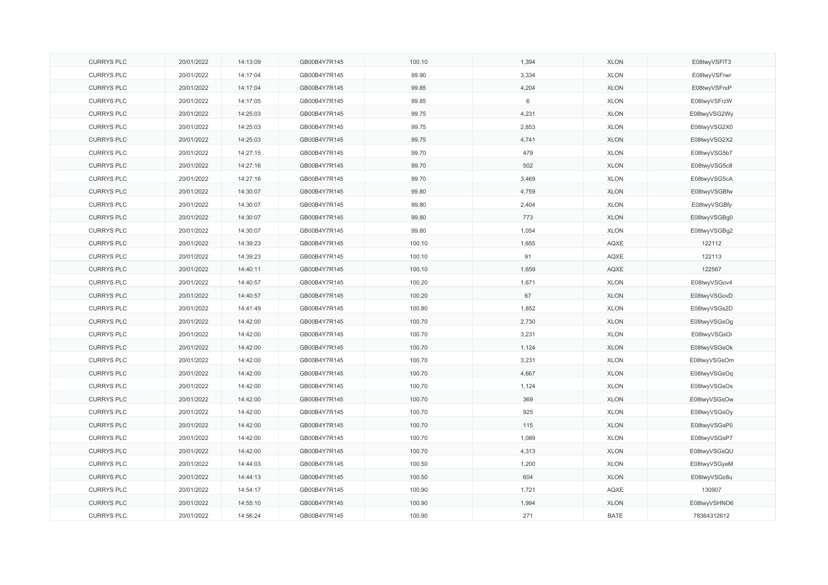| <b>CURRYS PLC</b> | 20/01/2022 | 14:13:09 | GB00B4Y7R145 | 100.10 | 1,394 | <b>XLON</b> | E08twyVSFIT3 |
|-------------------|------------|----------|--------------|--------|-------|-------------|--------------|
| <b>CURRYS PLC</b> | 20/01/2022 | 14:17:04 | GB00B4Y7R145 | 99.90  | 3,334 | <b>XLON</b> | E08twyVSFrwr |
| <b>CURRYS PLC</b> | 20/01/2022 | 14:17:04 | GB00B4Y7R145 | 99.85  | 4,204 | <b>XLON</b> | E08twyVSFrxP |
| <b>CURRYS PLC</b> | 20/01/2022 | 14:17:05 | GB00B4Y7R145 | 99.85  | 6     | <b>XLON</b> | E08twyVSFrzW |
| <b>CURRYS PLC</b> | 20/01/2022 | 14:25:03 | GB00B4Y7R145 | 99.75  | 4,231 | <b>XLON</b> | E08twyVSG2Wy |
| <b>CURRYS PLC</b> | 20/01/2022 | 14:25:03 | GB00B4Y7R145 | 99.75  | 2,853 | <b>XLON</b> | E08twyVSG2X0 |
| <b>CURRYS PLC</b> | 20/01/2022 | 14:25:03 | GB00B4Y7R145 | 99.75  | 4,741 | <b>XLON</b> | E08twyVSG2X2 |
| <b>CURRYS PLC</b> | 20/01/2022 | 14:27:15 | GB00B4Y7R145 | 99.70  | 479   | <b>XLON</b> | E08twyVSG5b7 |
| <b>CURRYS PLC</b> | 20/01/2022 | 14:27:16 | GB00B4Y7R145 | 99.70  | 502   | <b>XLON</b> | E08twyVSG5c8 |
| <b>CURRYS PLC</b> | 20/01/2022 | 14:27:16 | GB00B4Y7R145 | 99.70  | 3,469 | <b>XLON</b> | E08twyVSG5cA |
| <b>CURRYS PLC</b> | 20/01/2022 | 14:30:07 | GB00B4Y7R145 | 99.80  | 4,759 | <b>XLON</b> | E08twyVSGBfw |
| <b>CURRYS PLC</b> | 20/01/2022 | 14:30:07 | GB00B4Y7R145 | 99.80  | 2,404 | <b>XLON</b> | E08twyVSGBfy |
| <b>CURRYS PLC</b> | 20/01/2022 | 14:30:07 | GB00B4Y7R145 | 99.80  | 773   | <b>XLON</b> | E08twyVSGBg0 |
| <b>CURRYS PLC</b> | 20/01/2022 | 14:30:07 | GB00B4Y7R145 | 99.80  | 1,054 | <b>XLON</b> | E08twyVSGBg2 |
| <b>CURRYS PLC</b> | 20/01/2022 | 14:39:23 | GB00B4Y7R145 | 100.10 | 1,655 | AQXE        | 122112       |
| <b>CURRYS PLC</b> | 20/01/2022 | 14:39:23 | GB00B4Y7R145 | 100.10 | 91    | AQXE        | 122113       |
| <b>CURRYS PLC</b> | 20/01/2022 | 14:40:11 | GB00B4Y7R145 | 100.10 | 1,659 | AQXE        | 122567       |
| <b>CURRYS PLC</b> | 20/01/2022 | 14:40:57 | GB00B4Y7R145 | 100.20 | 1,671 | <b>XLON</b> | E08twyVSGov4 |
| <b>CURRYS PLC</b> | 20/01/2022 | 14:40:57 | GB00B4Y7R145 | 100.20 | 67    | <b>XLON</b> | E08twyVSGovD |
| <b>CURRYS PLC</b> | 20/01/2022 | 14:41:49 | GB00B4Y7R145 | 100.80 | 1,852 | <b>XLON</b> | E08twyVSGs2D |
| <b>CURRYS PLC</b> | 20/01/2022 | 14:42:00 | GB00B4Y7R145 | 100.70 | 2,730 | <b>XLON</b> | E08twyVSGsOg |
| <b>CURRYS PLC</b> | 20/01/2022 | 14:42:00 | GB00B4Y7R145 | 100.70 | 3,231 | <b>XLON</b> | E08twyVSGsOi |
| <b>CURRYS PLC</b> | 20/01/2022 | 14:42:00 | GB00B4Y7R145 | 100.70 | 1,124 | <b>XLON</b> | E08twyVSGsOk |
| <b>CURRYS PLC</b> | 20/01/2022 | 14:42:00 | GB00B4Y7R145 | 100.70 | 3,231 | <b>XLON</b> | E08twyVSGsOm |
| <b>CURRYS PLC</b> | 20/01/2022 | 14:42:00 | GB00B4Y7R145 | 100.70 | 4,667 | <b>XLON</b> | E08twyVSGsOq |
| <b>CURRYS PLC</b> | 20/01/2022 | 14:42:00 | GB00B4Y7R145 | 100.70 | 1,124 | <b>XLON</b> | E08twyVSGsOs |
| <b>CURRYS PLC</b> | 20/01/2022 | 14:42:00 | GB00B4Y7R145 | 100.70 | 369   | <b>XLON</b> | E08twyVSGsOw |
| <b>CURRYS PLC</b> | 20/01/2022 | 14:42:00 | GB00B4Y7R145 | 100.70 | 925   | <b>XLON</b> | E08twyVSGsOy |
| <b>CURRYS PLC</b> | 20/01/2022 | 14:42:00 | GB00B4Y7R145 | 100.70 | 115   | <b>XLON</b> | E08twyVSGsP0 |
| <b>CURRYS PLC</b> | 20/01/2022 | 14:42:00 | GB00B4Y7R145 | 100.70 | 1,089 | <b>XLON</b> | E08twyVSGsP7 |
| <b>CURRYS PLC</b> | 20/01/2022 | 14:42:00 | GB00B4Y7R145 | 100.70 | 4,313 | <b>XLON</b> | E08twyVSGsQU |
| <b>CURRYS PLC</b> | 20/01/2022 | 14:44:03 | GB00B4Y7R145 | 100.50 | 1,200 | <b>XLON</b> | E08twyVSGyeM |
| <b>CURRYS PLC</b> | 20/01/2022 | 14:44:13 | GB00B4Y7R145 | 100.50 | 604   | <b>XLON</b> | E08twyVSGz8u |
| <b>CURRYS PLC</b> | 20/01/2022 | 14:54:17 | GB00B4Y7R145 | 100.90 | 1,721 | AQXE        | 130907       |
| <b>CURRYS PLC</b> | 20/01/2022 | 14:55:10 | GB00B4Y7R145 | 100.90 | 1,994 | <b>XLON</b> | E08twyVSHNO6 |
| <b>CURRYS PLC</b> | 20/01/2022 | 14:56:24 | GB00B4Y7R145 | 100.90 | 271   | <b>BATE</b> | 78364312612  |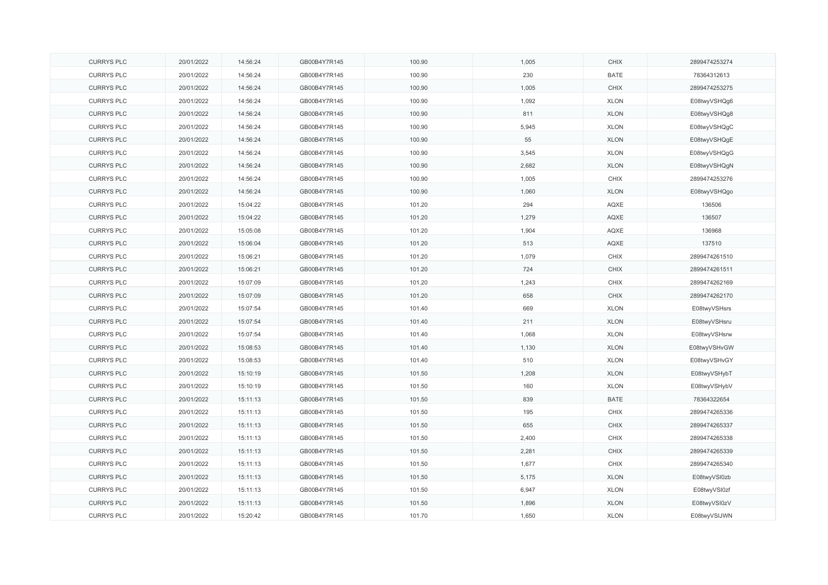| <b>CURRYS PLC</b> | 20/01/2022 | 14:56:24 | GB00B4Y7R145 | 100.90 | 1,005 | CHIX        | 2899474253274 |
|-------------------|------------|----------|--------------|--------|-------|-------------|---------------|
| <b>CURRYS PLC</b> | 20/01/2022 | 14:56:24 | GB00B4Y7R145 | 100.90 | 230   | <b>BATE</b> | 78364312613   |
| <b>CURRYS PLC</b> | 20/01/2022 | 14:56:24 | GB00B4Y7R145 | 100.90 | 1,005 | CHIX        | 2899474253275 |
| <b>CURRYS PLC</b> | 20/01/2022 | 14:56:24 | GB00B4Y7R145 | 100.90 | 1,092 | <b>XLON</b> | E08twyVSHQg6  |
| <b>CURRYS PLC</b> | 20/01/2022 | 14:56:24 | GB00B4Y7R145 | 100.90 | 811   | <b>XLON</b> | E08twyVSHQg8  |
| <b>CURRYS PLC</b> | 20/01/2022 | 14:56:24 | GB00B4Y7R145 | 100.90 | 5,945 | <b>XLON</b> | E08twyVSHQgC  |
| <b>CURRYS PLC</b> | 20/01/2022 | 14:56:24 | GB00B4Y7R145 | 100.90 | 55    | <b>XLON</b> | E08twyVSHQgE  |
| <b>CURRYS PLC</b> | 20/01/2022 | 14:56:24 | GB00B4Y7R145 | 100.90 | 3,545 | <b>XLON</b> | E08twyVSHQgG  |
| <b>CURRYS PLC</b> | 20/01/2022 | 14:56:24 | GB00B4Y7R145 | 100.90 | 2,682 | <b>XLON</b> | E08twyVSHQgN  |
| <b>CURRYS PLC</b> | 20/01/2022 | 14:56:24 | GB00B4Y7R145 | 100.90 | 1,005 | CHIX        | 2899474253276 |
| <b>CURRYS PLC</b> | 20/01/2022 | 14:56:24 | GB00B4Y7R145 | 100.90 | 1,060 | <b>XLON</b> | E08twyVSHQgo  |
| <b>CURRYS PLC</b> | 20/01/2022 | 15:04:22 | GB00B4Y7R145 | 101.20 | 294   | AQXE        | 136506        |
| <b>CURRYS PLC</b> | 20/01/2022 | 15:04:22 | GB00B4Y7R145 | 101.20 | 1,279 | AQXE        | 136507        |
| <b>CURRYS PLC</b> | 20/01/2022 | 15:05:08 | GB00B4Y7R145 | 101.20 | 1,904 | AQXE        | 136968        |
| <b>CURRYS PLC</b> | 20/01/2022 | 15:06:04 | GB00B4Y7R145 | 101.20 | 513   | AQXE        | 137510        |
| <b>CURRYS PLC</b> | 20/01/2022 | 15:06:21 | GB00B4Y7R145 | 101.20 | 1,079 | <b>CHIX</b> | 2899474261510 |
| <b>CURRYS PLC</b> | 20/01/2022 | 15:06:21 | GB00B4Y7R145 | 101.20 | 724   | <b>CHIX</b> | 2899474261511 |
| <b>CURRYS PLC</b> | 20/01/2022 | 15:07:09 | GB00B4Y7R145 | 101.20 | 1,243 | CHIX        | 2899474262169 |
| <b>CURRYS PLC</b> | 20/01/2022 | 15:07:09 | GB00B4Y7R145 | 101.20 | 658   | <b>CHIX</b> | 2899474262170 |
| <b>CURRYS PLC</b> | 20/01/2022 | 15:07:54 | GB00B4Y7R145 | 101.40 | 669   | <b>XLON</b> | E08twyVSHsrs  |
| <b>CURRYS PLC</b> | 20/01/2022 | 15:07:54 | GB00B4Y7R145 | 101.40 | 211   | <b>XLON</b> | E08twyVSHsru  |
| <b>CURRYS PLC</b> | 20/01/2022 | 15:07:54 | GB00B4Y7R145 | 101.40 | 1,068 | <b>XLON</b> | E08twyVSHsrw  |
| <b>CURRYS PLC</b> | 20/01/2022 | 15:08:53 | GB00B4Y7R145 | 101.40 | 1,130 | <b>XLON</b> | E08twyVSHvGW  |
| <b>CURRYS PLC</b> | 20/01/2022 | 15:08:53 | GB00B4Y7R145 | 101.40 | 510   | <b>XLON</b> | E08twyVSHvGY  |
| <b>CURRYS PLC</b> | 20/01/2022 | 15:10:19 | GB00B4Y7R145 | 101.50 | 1,208 | <b>XLON</b> | E08twyVSHybT  |
| <b>CURRYS PLC</b> | 20/01/2022 | 15:10:19 | GB00B4Y7R145 | 101.50 | 160   | <b>XLON</b> | E08twyVSHybV  |
| <b>CURRYS PLC</b> | 20/01/2022 | 15:11:13 | GB00B4Y7R145 | 101.50 | 839   | <b>BATE</b> | 78364322654   |
| <b>CURRYS PLC</b> | 20/01/2022 | 15:11:13 | GB00B4Y7R145 | 101.50 | 195   | CHIX        | 2899474265336 |
| <b>CURRYS PLC</b> | 20/01/2022 | 15:11:13 | GB00B4Y7R145 | 101.50 | 655   | CHIX        | 2899474265337 |
| <b>CURRYS PLC</b> | 20/01/2022 | 15:11:13 | GB00B4Y7R145 | 101.50 | 2,400 | CHIX        | 2899474265338 |
| <b>CURRYS PLC</b> | 20/01/2022 | 15:11:13 | GB00B4Y7R145 | 101.50 | 2,281 | CHIX        | 2899474265339 |
| <b>CURRYS PLC</b> | 20/01/2022 | 15:11:13 | GB00B4Y7R145 | 101.50 | 1,677 | CHIX        | 2899474265340 |
| <b>CURRYS PLC</b> | 20/01/2022 | 15:11:13 | GB00B4Y7R145 | 101.50 | 5,175 | <b>XLON</b> | E08twyVSI0zb  |
| <b>CURRYS PLC</b> | 20/01/2022 | 15:11:13 | GB00B4Y7R145 | 101.50 | 6,947 | <b>XLON</b> | E08twyVSI0zf  |
| <b>CURRYS PLC</b> | 20/01/2022 | 15:11:13 | GB00B4Y7R145 | 101.50 | 1,896 | <b>XLON</b> | E08twyVSI0zV  |
| <b>CURRYS PLC</b> | 20/01/2022 | 15:20:42 | GB00B4Y7R145 | 101.70 | 1,650 | <b>XLON</b> | E08twyVSIJWN  |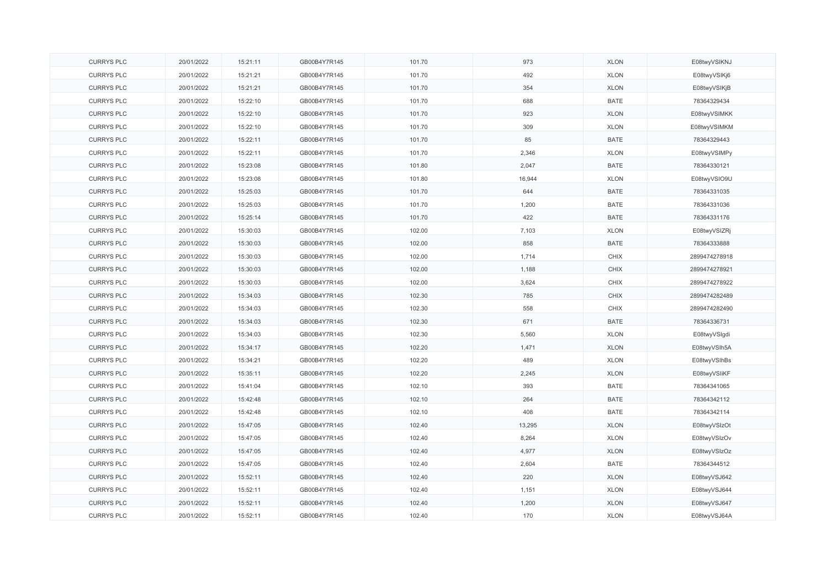| <b>CURRYS PLC</b> | 20/01/2022 | 15:21:11 | GB00B4Y7R145 | 101.70 | 973    | <b>XLON</b> | E08twyVSIKNJ  |
|-------------------|------------|----------|--------------|--------|--------|-------------|---------------|
| <b>CURRYS PLC</b> | 20/01/2022 | 15:21:21 | GB00B4Y7R145 | 101.70 | 492    | <b>XLON</b> | E08twyVSIKj6  |
| <b>CURRYS PLC</b> | 20/01/2022 | 15:21:21 | GB00B4Y7R145 | 101.70 | 354    | <b>XLON</b> | E08twyVSIKjB  |
| <b>CURRYS PLC</b> | 20/01/2022 | 15:22:10 | GB00B4Y7R145 | 101.70 | 688    | <b>BATE</b> | 78364329434   |
| <b>CURRYS PLC</b> | 20/01/2022 | 15:22:10 | GB00B4Y7R145 | 101.70 | 923    | <b>XLON</b> | E08twyVSIMKK  |
| <b>CURRYS PLC</b> | 20/01/2022 | 15:22:10 | GB00B4Y7R145 | 101.70 | 309    | <b>XLON</b> | E08twyVSIMKM  |
| <b>CURRYS PLC</b> | 20/01/2022 | 15:22:11 | GB00B4Y7R145 | 101.70 | 85     | <b>BATE</b> | 78364329443   |
| <b>CURRYS PLC</b> | 20/01/2022 | 15:22:11 | GB00B4Y7R145 | 101.70 | 2,346  | <b>XLON</b> | E08twyVSIMPy  |
| <b>CURRYS PLC</b> | 20/01/2022 | 15:23:08 | GB00B4Y7R145 | 101.80 | 2,047  | <b>BATE</b> | 78364330121   |
| <b>CURRYS PLC</b> | 20/01/2022 | 15:23:08 | GB00B4Y7R145 | 101.80 | 16,944 | <b>XLON</b> | E08twyVSIO9U  |
| <b>CURRYS PLC</b> | 20/01/2022 | 15:25:03 | GB00B4Y7R145 | 101.70 | 644    | <b>BATE</b> | 78364331035   |
| <b>CURRYS PLC</b> | 20/01/2022 | 15:25:03 | GB00B4Y7R145 | 101.70 | 1,200  | <b>BATE</b> | 78364331036   |
| <b>CURRYS PLC</b> | 20/01/2022 | 15:25:14 | GB00B4Y7R145 | 101.70 | 422    | <b>BATE</b> | 78364331176   |
| <b>CURRYS PLC</b> | 20/01/2022 | 15:30:03 | GB00B4Y7R145 | 102.00 | 7,103  | <b>XLON</b> | E08twyVSIZRj  |
| <b>CURRYS PLC</b> | 20/01/2022 | 15:30:03 | GB00B4Y7R145 | 102.00 | 858    | <b>BATE</b> | 78364333888   |
| <b>CURRYS PLC</b> | 20/01/2022 | 15:30:03 | GB00B4Y7R145 | 102.00 | 1,714  | CHIX        | 2899474278918 |
| <b>CURRYS PLC</b> | 20/01/2022 | 15:30:03 | GB00B4Y7R145 | 102.00 | 1,188  | <b>CHIX</b> | 2899474278921 |
| <b>CURRYS PLC</b> | 20/01/2022 | 15:30:03 | GB00B4Y7R145 | 102.00 | 3,624  | CHIX        | 2899474278922 |
| <b>CURRYS PLC</b> | 20/01/2022 | 15:34:03 | GB00B4Y7R145 | 102.30 | 785    | <b>CHIX</b> | 2899474282489 |
| <b>CURRYS PLC</b> | 20/01/2022 | 15:34:03 | GB00B4Y7R145 | 102.30 | 558    | CHIX        | 2899474282490 |
| <b>CURRYS PLC</b> | 20/01/2022 | 15:34:03 | GB00B4Y7R145 | 102.30 | 671    | <b>BATE</b> | 78364336731   |
| <b>CURRYS PLC</b> | 20/01/2022 | 15:34:03 | GB00B4Y7R145 | 102.30 | 5,560  | <b>XLON</b> | E08twyVSIgdi  |
| <b>CURRYS PLC</b> | 20/01/2022 | 15:34:17 | GB00B4Y7R145 | 102.20 | 1,471  | <b>XLON</b> | E08twyVSIh5A  |
| <b>CURRYS PLC</b> | 20/01/2022 | 15:34:21 | GB00B4Y7R145 | 102.20 | 489    | <b>XLON</b> | E08twyVSIhBs  |
| <b>CURRYS PLC</b> | 20/01/2022 | 15:35:11 | GB00B4Y7R145 | 102.20 | 2,245  | <b>XLON</b> | E08twyVSliKF  |
| <b>CURRYS PLC</b> | 20/01/2022 | 15:41:04 | GB00B4Y7R145 | 102.10 | 393    | <b>BATE</b> | 78364341065   |
| <b>CURRYS PLC</b> | 20/01/2022 | 15:42:48 | GB00B4Y7R145 | 102.10 | 264    | <b>BATE</b> | 78364342112   |
| <b>CURRYS PLC</b> | 20/01/2022 | 15:42:48 | GB00B4Y7R145 | 102.10 | 408    | <b>BATE</b> | 78364342114   |
| <b>CURRYS PLC</b> | 20/01/2022 | 15:47:05 | GB00B4Y7R145 | 102.40 | 13,295 | <b>XLON</b> | E08twyVSIzOt  |
| <b>CURRYS PLC</b> | 20/01/2022 | 15:47:05 | GB00B4Y7R145 | 102.40 | 8,264  | <b>XLON</b> | E08twyVSIzOv  |
| <b>CURRYS PLC</b> | 20/01/2022 | 15:47:05 | GB00B4Y7R145 | 102.40 | 4,977  | <b>XLON</b> | E08twyVSIzOz  |
| <b>CURRYS PLC</b> | 20/01/2022 | 15:47:05 | GB00B4Y7R145 | 102.40 | 2,604  | <b>BATE</b> | 78364344512   |
| <b>CURRYS PLC</b> | 20/01/2022 | 15:52:11 | GB00B4Y7R145 | 102.40 | 220    | <b>XLON</b> | E08twyVSJ642  |
| <b>CURRYS PLC</b> | 20/01/2022 | 15:52:11 | GB00B4Y7R145 | 102.40 | 1,151  | <b>XLON</b> | E08twyVSJ644  |
| <b>CURRYS PLC</b> | 20/01/2022 | 15:52:11 | GB00B4Y7R145 | 102.40 | 1,200  | <b>XLON</b> | E08twyVSJ647  |
| <b>CURRYS PLC</b> | 20/01/2022 | 15:52:11 | GB00B4Y7R145 | 102.40 | 170    | <b>XLON</b> | E08twyVSJ64A  |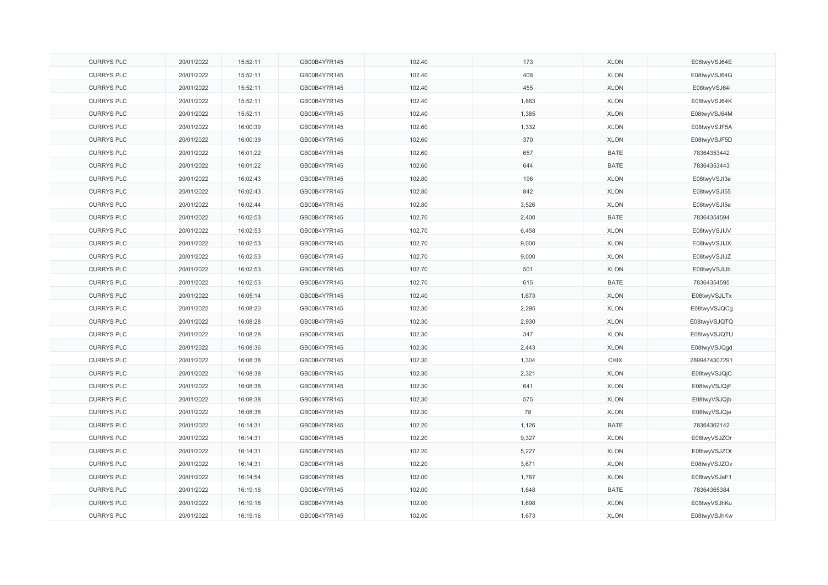| <b>CURRYS PLC</b> | 20/01/2022 | 15:52:11 | GB00B4Y7R145 | 102.40 | 173   | <b>XLON</b> | E08twyVSJ64E  |
|-------------------|------------|----------|--------------|--------|-------|-------------|---------------|
| <b>CURRYS PLC</b> | 20/01/2022 | 15:52:11 | GB00B4Y7R145 | 102.40 | 408   | <b>XLON</b> | E08twyVSJ64G  |
| <b>CURRYS PLC</b> | 20/01/2022 | 15:52:11 | GB00B4Y7R145 | 102.40 | 455   | <b>XLON</b> | E08twyVSJ64I  |
| <b>CURRYS PLC</b> | 20/01/2022 | 15:52:11 | GB00B4Y7R145 | 102.40 | 1,863 | <b>XLON</b> | E08twyVSJ64K  |
| <b>CURRYS PLC</b> | 20/01/2022 | 15:52:11 | GB00B4Y7R145 | 102.40 | 1,385 | <b>XLON</b> | E08twyVSJ64M  |
| <b>CURRYS PLC</b> | 20/01/2022 | 16:00:39 | GB00B4Y7R145 | 102.60 | 1,332 | <b>XLON</b> | E08twyVSJF5A  |
| <b>CURRYS PLC</b> | 20/01/2022 | 16:00:39 | GB00B4Y7R145 | 102.60 | 370   | <b>XLON</b> | E08twyVSJF5D  |
| <b>CURRYS PLC</b> | 20/01/2022 | 16:01:22 | GB00B4Y7R145 | 102.60 | 657   | <b>BATE</b> | 78364353442   |
| <b>CURRYS PLC</b> | 20/01/2022 | 16:01:22 | GB00B4Y7R145 | 102.60 | 644   | <b>BATE</b> | 78364353443   |
| <b>CURRYS PLC</b> | 20/01/2022 | 16:02:43 | GB00B4Y7R145 | 102.80 | 196   | <b>XLON</b> | E08twyVSJI3e  |
| <b>CURRYS PLC</b> | 20/01/2022 | 16:02:43 | GB00B4Y7R145 | 102.80 | 842   | <b>XLON</b> | E08twyVSJI55  |
| <b>CURRYS PLC</b> | 20/01/2022 | 16:02:44 | GB00B4Y7R145 | 102.80 | 3,526 | <b>XLON</b> | E08twyVSJI5e  |
| <b>CURRYS PLC</b> | 20/01/2022 | 16:02:53 | GB00B4Y7R145 | 102.70 | 2,400 | <b>BATE</b> | 78364354594   |
| <b>CURRYS PLC</b> | 20/01/2022 | 16:02:53 | GB00B4Y7R145 | 102.70 | 6,458 | <b>XLON</b> | E08twyVSJIJV  |
| <b>CURRYS PLC</b> | 20/01/2022 | 16:02:53 | GB00B4Y7R145 | 102.70 | 9,000 | <b>XLON</b> | E08twyVSJIJX  |
| <b>CURRYS PLC</b> | 20/01/2022 | 16:02:53 | GB00B4Y7R145 | 102.70 | 9,000 | <b>XLON</b> | E08twyVSJIJZ  |
| <b>CURRYS PLC</b> | 20/01/2022 | 16:02:53 | GB00B4Y7R145 | 102.70 | 501   | <b>XLON</b> | E08twyVSJIJb  |
| <b>CURRYS PLC</b> | 20/01/2022 | 16:02:53 | GB00B4Y7R145 | 102.70 | 615   | <b>BATE</b> | 78364354595   |
| <b>CURRYS PLC</b> | 20/01/2022 | 16:05:14 | GB00B4Y7R145 | 102.40 | 1,673 | <b>XLON</b> | E08twyVSJLTx  |
| <b>CURRYS PLC</b> | 20/01/2022 | 16:08:20 | GB00B4Y7R145 | 102.30 | 2,295 | <b>XLON</b> | E08twyVSJQCg  |
| <b>CURRYS PLC</b> | 20/01/2022 | 16:08:28 | GB00B4Y7R145 | 102.30 | 2,930 | <b>XLON</b> | E08twyVSJQTQ  |
| <b>CURRYS PLC</b> | 20/01/2022 | 16:08:28 | GB00B4Y7R145 | 102.30 | 347   | <b>XLON</b> | E08twyVSJQTU  |
| <b>CURRYS PLC</b> | 20/01/2022 | 16:08:36 | GB00B4Y7R145 | 102.30 | 2,443 | <b>XLON</b> | E08twyVSJQgd  |
| <b>CURRYS PLC</b> | 20/01/2022 | 16:08:38 | GB00B4Y7R145 | 102.30 | 1,304 | CHIX        | 2899474307291 |
| <b>CURRYS PLC</b> | 20/01/2022 | 16:08:38 | GB00B4Y7R145 | 102.30 | 2,321 | <b>XLON</b> | E08twyVSJQjC  |
| <b>CURRYS PLC</b> | 20/01/2022 | 16:08:38 | GB00B4Y7R145 | 102.30 | 641   | <b>XLON</b> | E08twyVSJQjF  |
| <b>CURRYS PLC</b> | 20/01/2022 | 16:08:38 | GB00B4Y7R145 | 102.30 | 575   | <b>XLON</b> | E08twyVSJQjb  |
| <b>CURRYS PLC</b> | 20/01/2022 | 16:08:38 | GB00B4Y7R145 | 102.30 | 78    | <b>XLON</b> | E08twyVSJQje  |
| <b>CURRYS PLC</b> | 20/01/2022 | 16:14:31 | GB00B4Y7R145 | 102.20 | 1,126 | <b>BATE</b> | 78364362142   |
| <b>CURRYS PLC</b> | 20/01/2022 | 16:14:31 | GB00B4Y7R145 | 102.20 | 9,327 | <b>XLON</b> | E08twyVSJZOr  |
| <b>CURRYS PLC</b> | 20/01/2022 | 16:14:31 | GB00B4Y7R145 | 102.20 | 5,227 | <b>XLON</b> | E08twyVSJZOt  |
| <b>CURRYS PLC</b> | 20/01/2022 | 16:14:31 | GB00B4Y7R145 | 102.20 | 3,671 | <b>XLON</b> | E08twyVSJZOv  |
| <b>CURRYS PLC</b> | 20/01/2022 | 16:14:54 | GB00B4Y7R145 | 102.00 | 1,787 | <b>XLON</b> | E08twyVSJaF1  |
| <b>CURRYS PLC</b> | 20/01/2022 | 16:19:16 | GB00B4Y7R145 | 102.00 | 1,648 | <b>BATE</b> | 78364365384   |
| <b>CURRYS PLC</b> | 20/01/2022 | 16:19:16 | GB00B4Y7R145 | 102.00 | 1,698 | <b>XLON</b> | E08twyVSJhKu  |
| <b>CURRYS PLC</b> | 20/01/2022 | 16:19:16 | GB00B4Y7R145 | 102.00 | 1,673 | <b>XLON</b> | E08twyVSJhKw  |